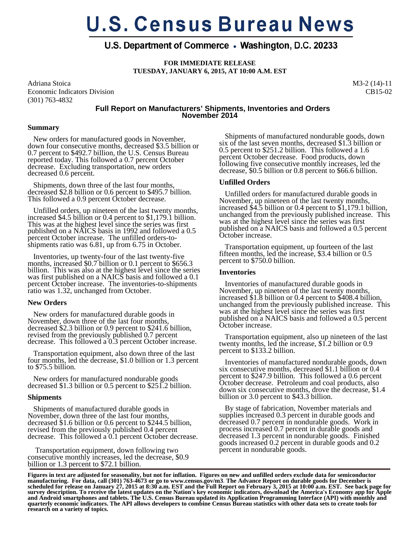# **U.S. Census Bureau News**

# U.S. Department of Commerce • Washington, D.C. 20233

**FOR IMMEDIATE RELEASE TUESDAY, JANUARY 6, 2015, AT 10:00 A.M. EST** 

Adriana Stoica Economic Indicators Division (301) 763-4832

M3-2 (14)-11 CB15-02

# **Full Report on Manufacturers' Shipments, Inventories and Orders November 2014**

#### **Summary**

 New orders for manufactured goods in November, down four consecutive months, decreased \$3.5 billion or 0.7 percent to \$492.7 billion, the U.S. Census Bureau reported today. This followed a 0.7 percent October decrease. Excluding transportation, new orders decreased 0.6 percent.

 Shipments, down three of the last four months, decreased \$2.8 billion or 0.6 percent to \$495.7 billion. This followed a 0.9 percent October decrease.

 Unfilled orders, up nineteen of the last twenty months, increased \$4.5 billion or 0.4 percent to \$1,179.1 billion. This was at the highest level since the series was first published on a NAICS basis in 1992 and followed a 0.5 percent October increase. The unfilled orders-toshipments ratio was 6.81, up from 6.75 in October.

 Inventories, up twenty-four of the last twenty-five months, increased \$0.7 billion or 0.1 percent to \$656.3 billion. This was also at the highest level since the series was first published on a NAICS basis and followed a 0.1 percent October increase. The inventories-to-shipments ratio was 1.32, unchanged from October.

## **New Orders**

 New orders for manufactured durable goods in November, down three of the last four months, decreased \$2.3 billion or 0.9 percent to \$241.6 billion, revised from the previously published 0.7 percent decrease. This followed a 0.3 percent October increase.

 Transportation equipment, also down three of the last four months, led the decrease, \$1.0 billion or 1.3 percent to \$75.5 billion.

 New orders for manufactured nondurable goods decreased \$1.3 billion or 0.5 percent to \$251.2 billion.

## **Shipments**

 Shipments of manufactured durable goods in November, down three of the last four months, decreased \$1.6 billion or 0.6 percent to \$244.5 billion, revised from the previously published 0.4 percent decrease. This followed a 0.1 percent October decrease.

 Transportation equipment, down following two consecutive monthly increases, led the decrease, \$0.9 billion or 1.3 percent to \$72.1 billion.

 Shipments of manufactured nondurable goods, down six of the last seven months, decreased \$1.3 billion or 0.5 percent to \$251.2 billion. This followed a 1.6 percent October decrease. Food products, down following five consecutive monthly increases, led the decrease, \$0.5 billion or 0.8 percent to \$66.6 billion.

## **Unfilled Orders**

 Unfilled orders for manufactured durable goods in November, up nineteen of the last twenty months, increased \$4.5 billion or 0.4 percent to \$1,179.1 billion, unchanged from the previously published increase. This was at the highest level since the series was first published on a NAICS basis and followed a 0.5 percent October increase.

 Transportation equipment, up fourteen of the last fifteen months, led the increase, \$3.4 billion or 0.5 percent to \$750.0 billion.

#### **Inventories**

 Inventories of manufactured durable goods in November, up nineteen of the last twenty months, increased \$1.8 billion or 0.4 percent to \$408.4 billion, unchanged from the previously published increase. This was at the highest level since the series was first published on a NAICS basis and followed a 0.5 percent October increase.

 Transportation equipment, also up nineteen of the last twenty months, led the increase, \$1.2 billion or 0.9 percent to \$133.2 billion.

 Inventories of manufactured nondurable goods, down six consecutive months, decreased \$1.1 billion or 0.4 percent to \$247.9 billion. This followed a 0.6 percent October decrease. Petroleum and coal products, also down six consecutive months, drove the decrease, \$1.4 billion or 3.0 percent to \$43.3 billion.

 By stage of fabrication, November materials and supplies increased 0.3 percent in durable goods and decreased 0.7 percent in nondurable goods. Work in process increased 0.7 percent in durable goods and decreased 1.3 percent in nondurable goods. Finished goods increased 0.2 percent in durable goods and 0.2 percent in nondurable goods.

**Figures in text are adjusted for seasonality, but not for inflation. Figures on new and unfilled orders exclude data for semiconductor manufacturing. For data, call (301) 763-4673 or go to www.census.gov/m3**. **The Advance Report on durable goods for December is scheduled for release on January 27, 2015 at 8:30 a.m. EST and the Full Report on February 3, 2015 at 10:00 a.m. EST. See back page for survey description. To receive the latest updates on the Nation's key economic indicators, download the America's Economy app for Apple and Android smartphones and tablets. The U.S. Census Bureau updated its Application Programming Interface (API) with monthly and quarterly economic indicators. The API allows developers to combine Census Bureau statistics with other data sets to create tools for research on a variety of topics.**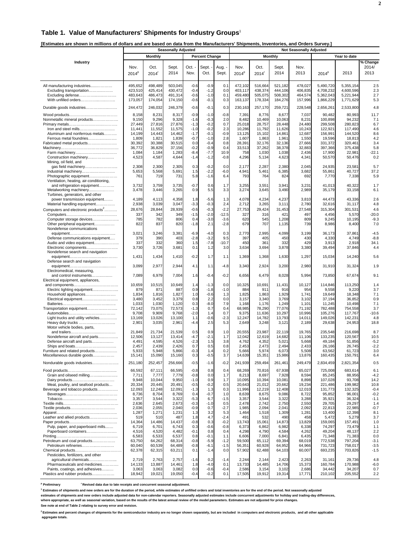#### **Table 1. Value of Manufacturers' Shipments for Industry Groups**<sup>1</sup>

**[Estimates are shown in millions of dollars and are based on data from the Manufacturers' Shipments, Inventories, and Orders Survey.]** 

|                                                                      | <b>Seasonally Adjusted</b> |                     |                  |                  |                       |               | <b>Not Seasonally Adjusted</b> |                  |                  |                  |                    |                    |                  |
|----------------------------------------------------------------------|----------------------------|---------------------|------------------|------------------|-----------------------|---------------|--------------------------------|------------------|------------------|------------------|--------------------|--------------------|------------------|
|                                                                      |                            | <b>Monthly</b>      |                  |                  | <b>Percent Change</b> |               |                                |                  | <b>Monthly</b>   |                  |                    | Year to date       |                  |
| Industry                                                             |                            |                     |                  |                  |                       |               |                                |                  |                  |                  |                    |                    | % Change         |
|                                                                      | Nov.                       | Oct.                | Sept.            | Oct. -           | Sept. -               | Aug.          | Nov.                           | Oct.             | Sept.            | Nov.             |                    |                    | 2014/            |
|                                                                      | $2014^p$                   | $2014$ <sup>r</sup> | 2014             | Nov.             | Oct.                  | Sept.         | $2014^p$                       | 2014             | 2014             | 2013             | $2014^p$           | 2013               | 2013             |
|                                                                      |                            |                     |                  |                  |                       |               |                                |                  |                  |                  |                    |                    |                  |
| All manufacturing industries                                         | 495,652                    | 498,489             | 503,045          | $-0.6$           | $-0.9$                | 0.1           | 472,102                        | 516,664          | 521,182          | 478,027          | 5,490,720          | 5,355,154          | 2.5              |
| Excluding transportation                                             | 423,510                    | 425,414             | 430,472          | $-0.4$           | $-1.2$                | 0.0           | 403,117                        | 438,374          | 444,106          | 406,835          | 4.708.232          | 4,600,596          | 2.3              |
| Excluding defense                                                    | 483,643                    | 486,473             | 491,314          | $-0.6$           | $-1.0$                | 0.1           | 459,480                        | 505,075          | 508,302          | 464,574          | 5,362,043          | 5,221,944          | 2.7              |
| With unfilled orders                                                 | 173,057                    | 174,054             | 174,150          | $-0.6$           | $-0.1$                | 0.3           | 163,137                        | 178,334          | 184,276          | 157,996          | 1,866,229          | 1,771,629          | 5.3              |
| Durable goods industries                                             | 244,472                    | 246,032             | 246,379          | $-0.6$           | $-0.1$                | 0.3           | 230,163                        | 257,170          | 259,721          | 228,548          | 2,656,261          | 2,533,800          | 4.8              |
|                                                                      | 8,158                      | 8,231               | 8,317            | $-0.9$           | $-1.0$                | $-0.8$        | 7,391                          | 8,776            | 8,677            | 7,037            | 90,482             | 80,993             | 11.7             |
| Nonmetallic mineral products                                         | 9,150                      | 9,296               | 9,328            | $-1.6$           | $-0.3$                | 2.0           | 8,482                          | 10,469           | 10,063           | 8,231            | 100,898            | 94,232             | 7.1              |
|                                                                      | 27,449                     | 27,816              | 27,876           | $-1.3$           | $-0.2$                | 0.7           | 25,018                         | 28,757           | 28,448           | 24,480           | 299,508            | 280,823            | 6.7              |
| Iron and steel mills                                                 | 11,441                     | 11,552              | 11,575           | $-1.0$           | $-0.2$                | 2.3           | 10,286                         | 11,792           | 11,626           | 10,243           | 122,921            | 117.490            | 4.6              |
| Aluminum and nonferrous metals                                       | 14,199                     | 14,443              | 14,462           | $-1.7$           | $-0.1$                | $-0.9$        | 13,125                         | 15,102           | 14,861           | 12,687           | 156,991            | 144,520            | 8.6              |
| Ferrous metal foundries<br>Fabricated metal products                 | 1,809<br>30,392            | 1,821<br>30,388     | 1,839<br>30,515  | $-0.7$<br>0.0    | $-1.0$<br>$-0.4$      | 2.8<br>0.8    | 1,607<br>28,391                | 1,863<br>32,176  | 1,961<br>32,136  | 1,550<br>27,666  | 19,596<br>331.372  | 18,813<br>320,461  | 4.2<br>3.4       |
|                                                                      | 36,772                     | 36,829              | 37,156           | $-0.2$           | $-0.9$                | 0.4           | 33,513                         | 37,262           | 38,378           | 32,883           | 397,366            | 375,438            | 5.8              |
|                                                                      | 1,084                      | 1,184               | 1,283            | $-8.4$           | $-7.7$                | 10.9          | 758                            | 1,030            | 1,038            | 2,436            | 17,900             | 22,981             | $-22.1$          |
| Construction machinery                                               | 4,523                      | 4,587               | 4,644            | $-1.4$           | $-1.2$                | $-0.8$        | 4,296                          | 5,134            | 4,623            | 4,341            | 50,570             | 50,476             | 0.2              |
| Mining, oil field, and                                               |                            |                     |                  |                  |                       |               |                                |                  |                  |                  |                    |                    |                  |
| Industrial machinery                                                 | 2,308<br>5,653             | 2,300<br>5,568      | 2,305<br>5,691   | 0.3<br>1.5       | $-0.2$<br>$-2.2$      | 0.0<br>$-6.0$ | 2,177<br>4,941                 | 2,287<br>5,461   | 2,380<br>6,385   | 2,045<br>3,682   | 24,935<br>55,861   | 23,581<br>40,727   | 5.7<br>37.2      |
| Photographic equipment                                               | 761                        | 719                 | 731              | 5.8              | $-1.6$                | 6.4           | 793                            | 764              | 824              | 692              | 7,770              | 7,338              | 5.9              |
| Ventilation, heating, air-conditioning,                              |                            |                     |                  |                  |                       |               |                                |                  |                  |                  |                    |                    |                  |
| and refrigeration equipment                                          | 3,732                      | 3,759               | 3,735            | $-0.7$           | 0.6                   | 1.7           | 3,255                          | 3,551            | 3,941            | 3,231            | 41,013             | 40,322             | 1.7              |
| Metalworking machinery                                               | 3,478                      | 3,446               | 3,265            | 0.9              | 5.5                   | 3.3           | 3,274                          | 3,645            | 3,490            | 2,989            | 35,179             | 33,158             | 6.1              |
| Turbines, generators, and other<br>power transmission equipment      | 4,189                      | 4,113               | 4,358            | 1.8              | $-5.6$                | 1.3           | 4,078                          | 4,234            | 4,237            | 3,810            | 44,473             | 43,336             | 2.6              |
| Material handling equipment                                          | 2,938                      | 3,039               | 3,047            | $-3.3$           | $-0.3$                | 2.4           | 2,712                          | 3,265            | 3,111            | 2,780            | 32,616             | 31,117             | 4.8              |
| Computers and electronic products <sup>2</sup>                       | 28,676                     | 28,844              | 28,939           | $-0.6$           | $-0.3$                | $-2.2$        | 27,753                         | 29,424           | 31,453           | 27,548           | 315,304            | 301,531            | 4.6              |
|                                                                      | 337                        | 342                 | 349              | $-1.5$           | $-2.0$                | $-12.5$       | 327                            | 316              | 421              | 497              | 4,456              | 5,570              | $-20.0$          |
| Computer storage devices                                             | 785                        | 782                 | 806              | 0.4              | $-3.0$                | $-3.6$        | 620                            | 545              | 1,208            | 809              | 9,245              | 10,195             | $-9.3$           |
| Other peripheral equipment                                           | 822                        | 837                 | 820              | $-1.8$           | 2.1                   | $-2.8$        | 679                            | 707              | 1,135            | 739              | 8,986              | 8,400              | 7.0              |
| Nondefense communications                                            |                            |                     |                  |                  |                       |               |                                |                  |                  |                  |                    |                    |                  |
| Defense communications equipment                                     | 3,021<br>379               | 3,246<br>390        | 3,381<br>403     | $-6.9$<br>$-2.8$ | $-4.0$<br>$-3.2$      | 0.3<br>9.5    | 2,770<br>397                   | 2,995<br>405     | 4,099<br>450     | 3,199<br>430     | 36,173<br>4,330    | 37,861<br>4,749    | $-4.5$<br>$-8.8$ |
| Audio and video equipment                                            | 337                        | 332                 | 360              | 1.5              | $-7.8$                | $-10.7$       | 450                            | 361              | 332              | 429              | 3,913              | 2,918              | 34.1             |
| Electronic components                                                | 3,730                      | 3,726               | 3,681            | 0.1              | 1.2                   | 3.0           | 3,634                          | 3,694            | 3,878            | 3,380            | 39,494             | 37,846             | 4.4              |
| Nondefense search and navigation                                     |                            |                     |                  |                  |                       |               |                                |                  |                  |                  |                    |                    |                  |
|                                                                      | 1,431                      | 1,434               | 1,410            | $-0.2$           | 1.7                   | 1.1           | 1,369                          | 1,368            | 1,630            | 1,297            | 15,034             | 14,240             | 5.6              |
| Defense search and navigation                                        | 3,099                      | 2,977               | 2,944            | 4.1              | 1.1                   | $-4.8$        | 3,340                          | 2,924            | 3,200            | 2,980            | 31,910             | 31,324             | 1.9              |
| Electromedical, measuring,                                           |                            |                     |                  |                  |                       |               |                                |                  |                  |                  |                    |                    |                  |
| and control instruments                                              | 7,089                      | 6,979               | 7,004            | 1.6              | $-0.4$                | $-0.2$        | 6,656                          | 6,479            | 8,028            | 5,994            | 73,850             | 67,674             | 9.1              |
| Electrical equipment, appliances,                                    |                            |                     |                  |                  |                       |               |                                |                  |                  |                  |                    |                    |                  |
|                                                                      | 10,659                     | 10,515              | 10,649           | 1.4              | $-1.3$                | 0.0           | 10,325                         | 10,691           | 11,431           | 10,127           | 114,846            | 113,250            | 1.4              |
| Electric lighting equipment                                          | 879                        | 871                 | 887              | 0.9<br>1.0       | $-1.8$<br>$-0.6$      | $-1.0$        | 884<br>1,825                   | 911              | 916<br>1,929     | 954<br>1,741     | 9,558              | 9,220<br>18,348    | 3.7<br>7.1       |
| Household appliances<br>Electrical equipment                         | 1,834<br>3,480             | 1,816<br>3,452      | 1,827<br>3,379   | 0.8              | 2.2                   | 1.3<br>0.0    | 3,157                          | 1,863<br>3,340   | 3,769            | 3,102            | 19,649<br>37,194   | 36,852             | 0.9              |
|                                                                      | 1,033                      | 1,030               | 1,120            | 0.3              | $-8.0$                | 7.9           | 1,168                          | 1,176            | 1,249            | 1,101            | 11,245             | 10,498             | 7.1              |
| Transportation equipment                                             | 72,142                     | 73,075              | 72,573           | $-1.3$           | 0.7                   | 0.4           | 68,985                         | 78,290           | 77,076           | 71,192           | 782,488            | 754,558            | 3.7              |
|                                                                      | 9,708                      | 9,909               | 9,768            | $-2.0$           | 1.4                   | 0.7           | 9,375                          | 11,636           | 10,297           | 10,996           | 105,276            | 117,767            | $-10.6$          |
| Light trucks and utility vehicles                                    | 13,169                     | 13,026              | 13,100           | 1.1              | $-0.6$<br>2.5         | $-2.3$        | 12,247                         | 14,782           | 13,793           | 14,011           | 149,026<br>29,638  | 142,231<br>24,953  | 4.8<br>18.8      |
| Heavy duty trucks<br>Motor vehicle bodies, parts,                    | 2,901                      | 3,035               | 2,961            | $-4.4$           |                       | 5.3           | 2,649                          | 3,248            | 3,121            | 2,189            |                    |                    |                  |
|                                                                      | 21,849                     | 21,734              | 21,539           | 0.5              | 0.9                   | 1.0           | 20,555                         | 23,987           | 22,119           | 19,765           | 235,548            | 216.698            | 8.7              |
| Nondefense aircraft and parts                                        | 12,506                     | 13,127              | 13,414           | $-4.7$           | $-2.1$                | 1.7           | 12,042                         | 12,619           | 14,682           | 11,106           | 133,235            | 120,567            | 10.5             |
| Defense aircraft and parts                                           | 4,491                      | 4,595               | 4,526            | $-2.3$           | 1.5                   | 3.8           | 4,762                          | 4,352            | 5,021            | 5,668            | 49,184             | 51,856             | $-5.2$           |
|                                                                      | 2,457                      | 2,439               | 2,426            | 0.7              | 0.5                   | 0.8           | 2,453                          | 2,473            | 2,494            | 2,433            | 26,166             | 26,745             | $-2.2$           |
| Furniture and related products<br>Miscellaneous durable goods        | 5,933<br>15,141            | 5,948<br>15,090     | 5,866<br>15,160  | $-0.3$<br>0.3    | 1.4<br>-0.5           | 0.2<br>3.7    | 5,666<br>14,639                | 5,974<br>15,351  | 6,073<br>15,986  | 5,508<br>13,876  | 63,562<br>160,435  | 61,723<br>150,791  | 3.0<br>6.4       |
|                                                                      |                            |                     |                  |                  |                       |               |                                |                  |                  |                  |                    |                    |                  |
| Nondurable goods industries                                          | 251,180                    | 252,457             | 256,666          | $-0.5$           | $-1.6$                | $-0.2$        | 241,939                        | 259,494          | 261,461          | 249,479          | 2,834,459          | 2,821,354          | 0.5              |
|                                                                      | 66,592                     | 67,111              | 66,595           | $-0.8$           | 0.8                   | 0.4           | 68,269                         | 70,816           | 67,938           | 65,027           | 725,008            | 683,614            | 6.1              |
| Grain and oilseed milling                                            | 7,711                      | 7,777               | 7,779            | $-0.8$           | 0.0                   | 1.7           | 8,213                          | 8,697            | 7,928            | 8,594            | 85,245             | 88,956             | $-4.2$           |
|                                                                      | 9,948                      | 10,044              | 9,950            | $-1.0$           | 0.9                   | 1.7           | 10,095                         | 10,394           | 10,081           | 8,898            | 107,028            | 93,708             | 14.2             |
| Meat, poultry, and seafood products<br>Beverage and tobacco products | 20,334<br>12,093           | 20,445<br>12,248    | 20,491<br>12,091 | $-0.5$<br>$-1.3$ | $-0.2$<br>1.3         | 0.5<br>0.3    | 20,643<br>11,996               | 21,012<br>12,219 | 20,662<br>12,408 | 19,234<br>12,010 | 221,486<br>131,773 | 199,982<br>132,325 | 10.8<br>$-0.4$   |
|                                                                      | 8,736                      | 8,704               | 8,769            | 0.4              | $-0.7$                | 1.0           | 8,639                          | 8,675            | 9,086            | 8,722            | 95,852             | 96,001             | $-0.2$           |
|                                                                      | 3,357                      | 3,544               | 3,322            | $-5.3$           | 6.7                   | $-1.5$        | 3,357                          | 3,544            | 3,322            | 3,288            | 35,921             | 36,324             | $-1.1$           |
|                                                                      | 2,636                      | 2,645               | 2,673            | $-0.3$           | $-1.0$                | 0.5           | 2,478                          | 2,742            | 2,750            | 2,550            | 29,705             | 29,297             | 1.4              |
|                                                                      | 2,036                      | 2,055               | 2,040            | $-0.9$           | 0.7                   | $-2.7$        | 1,985                          | 2,094            | 2,041            | 2,092            | 22,813             | 22,985             | $-0.7$           |
| Leather and allied products                                          | 1,287<br>519               | 1,271<br>510        | 1,231<br>487     | 1.3              | 3.2<br>4.7            | 5.3<br>$-2.4$ | 1,464<br>491                   | 1,518<br>532     | 1,309<br>490     | 1,281<br>458     | 13,400             | 12,398<br>5,279    | 8.1<br>3.7       |
|                                                                      | 14,364                     | 14,486              | 14,437           | 1.8<br>$-0.8$    | 0.3                   | $-0.2$        | 13,743                         | 15,061           | 14,873           | 13,829           | 5,472<br>159,065   | 157,491            | 1.0              |
| Pulp, paper, and paperboard mills                                    | 6,719                      | 6,701               | 6,743            | 0.3              | $-0.6$                | $-0.8$        | 6,373                          | 6,862            | 6,982            | 6,338            | 74,297             | 73,479             | 1.1              |
| Paperboard containers                                                | 4,516                      | 4,520               | 4,482            | $-0.1$           | 0.8                   | 0.4           | 4,298                          | 4,790            | 4,584            | 4,262            | 49,204             | 48,137             | 2.2              |
|                                                                      | 6,583                      | 6,533               | 6,537            | 0.8              | $-0.1$                | 1.1           | 6,606                          | 7,000            | 6,841            | 6,435            | 71,348             | 71,383             | 0.0              |
| Petroleum and coal products                                          | 63,750                     | 64,262              | 68,314           | $-0.8$           | $-5.9$                | $-1.2$        | 59,500                         | 65,112           | 69,394           | 68,019           | 772,538            | 797,204            | $-3.1$           |
| Petroleum refineries                                                 | 60,040<br>62,378           | 60,539<br>62,315    | 64,489<br>63,211 | $-0.8$<br>0.1    | $-6.1$<br>$-1.4$      | $-1.5$<br>0.0 | 56,351<br>57,902               | 60,928<br>62,488 | 64,952<br>64,103 | 64,966<br>60,007 | 731,723<br>693,235 | 758,017<br>703,826 | $-3.5$<br>$-1.5$ |
| Pesticides, fertilizers, and other                                   |                            |                     |                  |                  |                       |               |                                |                  |                  |                  |                    |                    |                  |
| agricultural chemicals                                               | 2,719                      | 2,763               | 2,757            | $-1.6$           | 0.2                   | $-1.4$        | 2,244                          | 2,144            | 2,423            | 2,263            | 31,161             | 29,736             | 4.8              |
| Pharmaceuticals and medicines                                        | 14,133                     | 13,887              | 14,461           | 1.8              | $-4.0$                | 0.1           | 13,733                         | 14,485           | 14,706           | 15,373           | 160,784            | 170,988            | $-6.0$           |
| Paints, coatings, and adhesives                                      | 3,063                      | 3,063               | 3,082            | 0.0              | $-0.6$                | $-0.4$        | 2,586                          | 3,154            | 3,102            | 2,686            | 34,442             | 34,207             | 0.7              |
| Plastics and rubber products                                         | 18,942                     | 19,021              | 19,050           | $-0.4$           | $-0.2$                | 0.1           | 17,505                         | 19,912           | 19,314           | 17,771           | 210,102            | 205,552            | 2.2              |

<sup>p</sup> Preliminary  **Preliminary r Revised data due to late receipts and concurrent seasonal adjustment.**

**1 Estimates of shipments and new orders are for the duration of the period, while estimates of unfilled orders and total inventories are for the end of the period. Not seasonally adjusted** 

**estimates of shipments and new orders include adjusted data for non-calendar reporters. Seasonally adjusted estimates include concurrent adjustments for holiday and trading-day differences,**

**where appropriate, as well as seasonal variation, based on the results of the latest annual review of the model parameters. Estimates are not adjusted for price changes. See note at end of Table 2 relating to survey error and revision.**

**2 Estimates and percent changes of shipments for the semiconductor industry are no longer shown separately, but are included in computers and electronic products, and all other applicable aggregate totals.**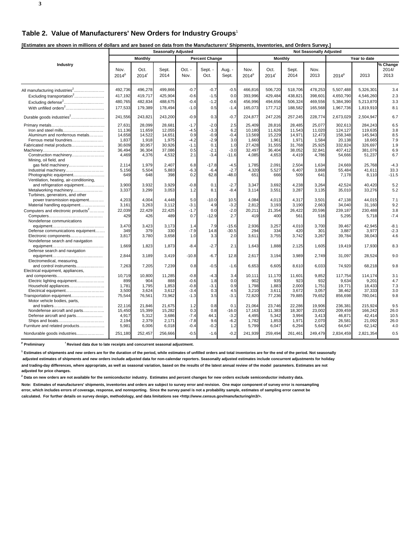**[Estimates are shown in millions of dollars and are based on data from the Manufacturers' Shipments, Inventories, and Orders Survey.]** 

| Lournaloo aro ono mn mimiono or aonaro ana aro baooa              | <b>Seasonally Adjusted</b> |                             |               |                  |                       |                 | .<br><b>Not Seasonally Adjusted</b> |                           |               |              |                   |              |                                  |
|-------------------------------------------------------------------|----------------------------|-----------------------------|---------------|------------------|-----------------------|-----------------|-------------------------------------|---------------------------|---------------|--------------|-------------------|--------------|----------------------------------|
|                                                                   |                            | <b>Monthly</b>              |               |                  | <b>Percent Change</b> |                 |                                     | <b>Monthly</b>            |               |              |                   | Year to date |                                  |
| Industry                                                          | Nov.<br>2014 <sup>p</sup>  | Oct.<br>$2014$ <sup>r</sup> | Sept.<br>2014 | $Oct. -$<br>Nov. | Sept. -<br>Oct.       | Aug. -<br>Sept. | Nov.<br>2014 <sup>p</sup>           | Oct.<br>2014 <sup>r</sup> | Sept.<br>2014 | Nov.<br>2013 | 2014 <sup>p</sup> | 2013         | $\sqrt%$ Change<br>2014/<br>2013 |
| All manufacturing industries <sup>2</sup>                         | 492,736                    | 496,278                     | 499,866       | $-0.7$           | $-0.7$                | $-0.5$          | 466,816                             | 506,720                   | 518,706       | 478,253      | 5,507,488         | 5,326,301    | 3.4                              |
| Excluding transportation <sup>2</sup>                             | 417,192                    | 419,717                     | 425,904       | $-0.6$           | $-1.5$                | 0.0             | 393,996                             | 429,484                   | 438,821       | 398.601      | 4,650,790         | 4,546,260    | 2.3                              |
| Excluding defense <sup>2</sup>                                    | 480,765                    | 482,834                     | 488,675       | $-0.4$           | $-1.2$                | $-0.6$          | 456,996                             | 494,656                   | 506,324       | 469,556      | 5,384,390         | 5,213,870    | 3.3                              |
|                                                                   | 177,533                    | 179,389                     | 178,494       | $-1.0$           | 0.5                   | $-1.4$          | 165,073                             | 177,712                   | 188,582       | 165,568      | 1,967,736         | 1,819,910    | 8.1                              |
| Durable goods industries <sup>2</sup>                             | 241,556                    | 243,821                     | 243,200       | $-0.9$           | 0.3                   | $-0.7$          | 224,877                             | 247,226                   | 257,245       | 228,774      | 2,673,029         | 2,504,947    | 6.7                              |
|                                                                   | 27,631                     | 28,099                      | 28,681        | $-1.7$           | $-2.0$                | 2.5             | 25,409                              | 28,816                    | 28,485        | 25,077       | 302,613           | 284,243      | 6.5                              |
| Iron and steel mills                                              | 11,136                     | 11,659                      | 12,055        | $-4.5$           | $-3.3$                | 6.2             | 10,180                              | 11,626                    | 11,543        | 11,020       | 124,127           | 119,635      | 3.8                              |
| Aluminum and nonferrous metals                                    | 14,658                     | 14,522                      | 14,651        | 0.9              | $-0.9$                | $-0.4$          | 13,569                              | 15,229                    | 14,971        | 12,473       | 158,348           | 145,943      | 8.5                              |
| Ferrous metal foundries                                           | 1,837                      | 1,918                       | 1,975         | $-4.2$           | $-2.9$                | 3.0             | 1,660                               | 1,961                     | 1,971         | 1,584        | 20,138            | 18,665       | 7.9                              |
| Fabricated metal products                                         | 30,609                     | 30,957                      | 30,926        | $-1.1$           | 0.1                   | 1.0             | 27,428                              | 31,555                    | 31,768        | 25,925       | 332,824           | 326,697      | 1.9                              |
|                                                                   | 36,494                     | 36,304                      | 37,086        | 0.5              | $-2.1$                | $-3.0$          | 32,497                              | 36,404                    | 38,052        | 32,841       | 407,412           | 381,076      | 6.9                              |
| Construction machinery<br>Mining, oil field, and                  | 4,469                      | 4,376                       | 4,532         | 2.1              | $-3.4$                | $-11.6$         | 4,085                               | 4,653                     | 4,419         | 4,786        | 54,666            | 51,237       | 6.7                              |
| gas field machinery                                               | 2,114                      | 1,979                       | 2,407         | 6.8              | $-17.8$               | $-4.5$          | 1,785                               | 2,091                     | 2,504         | 1,634        | 24,669            | 25,768       | $-4.3$                           |
| Industrial machinery                                              | 5,156                      | 5,504                       | 5,883         | $-6.3$           | $-6.4$                | $-2.7$          | 4,320                               | 5,527                     | 6.407         | 3,868        | 55.484            | 41,611       | 33.3                             |
| Photographic equipment<br>Ventilation, heating, air-conditioning, | 649                        | 648                         | 398           | 0.2              | 62.8                  | $-48.0$         | 651                                 | 666                       | 509           | 641          | 7,178             | 8,110        | $-11.5$                          |
| and refrigeration equipment                                       | 3,900                      | 3,932                       | 3,929         | $-0.8$           | 0.1                   | $-2.7$          | 3,347                               | 3,692                     | 4,238         | 3,264        | 42,524            | 40,420       | 5.2                              |
| Metalworking machinery                                            | 3,337                      | 3,299                       | 3,053         | 1.2              | 8.1                   | $-8.4$          | 3,114                               | 3,551                     | 3,287         | 3,135        | 35,010            | 33,276       | 5.2                              |
| Turbines, generators, and other                                   |                            |                             |               |                  |                       |                 |                                     |                           |               |              |                   |              |                                  |
| power transmission equipment                                      | 4,203                      | 4,004                       | 4,448         | 5.0              | $-10.0$               | 10.5            | 4,084                               | 4,013                     | 4,317         | 3,501        | 47,138            | 44,015       | 7.1                              |
| Material handling equipment                                       | 3,161                      | 3,263                       | 3,112         | $-3.1$           | 4.9                   | $-3.2$          | 2,812                               | 3,193                     | 3,190         | 2,663        | 34,040            | 31,160       | 9.2                              |
| Computers and electronic products <sup>2</sup>                    | 22,039                     | 22,429                      | 22,425        | $-1.7$           | 0.0                   | $-2.0$          | 20,211                              | 21,354                    | 26,422        | 20,596       | 239,187           | 230,488      | 3.8                              |
|                                                                   | 429                        | 426                         | 489           | 0.7              | $-12.9$               | 2.7             | 419                                 | 400                       | 561           | 516          | 5,295             | 5,718        | $-7.4$                           |
| Nondefense communications                                         |                            |                             |               |                  |                       |                 |                                     |                           |               |              |                   |              |                                  |
|                                                                   | 3,470                      | 3,423                       | 3,173         | 1.4              | 7.9                   | $-15.6$         | 2,936                               | 3,257                     | 4,010         | 3,700        | 39,467            | 42,945       | $-8.1$                           |
| Defense communications equipment                                  | 349                        | 379                         | 330           | $-7.9$           | 14.8                  | $-30.5$         | 294                                 | 334                       | 420           | 301          | 3,887             | 3,977        | $-2.3$                           |
| Electronic components<br>Nondefense search and navigation         | 3,817                      | 3,780                       | 3,658         | 1.0              | 3.3                   | 2.0             | 3,611                               | 3,755                     | 3,742         | 3,267        | 39,784            | 38,043       | 4.6                              |
|                                                                   | 1,669                      | 1,823                       | 1,873         | $-8.4$           | $-2.7$                | 2.1             | 1,643                               | 1,888                     | 2,125         | 1,605        | 19,419            | 17,930       | 8.3                              |
| Defense search and navigation                                     |                            |                             |               |                  |                       |                 |                                     |                           |               |              |                   |              |                                  |
|                                                                   | 2,844                      | 3,189                       | 3,419         | $-10.8$          | $-6.7$                | 12.8            | 2,617                               | 3,194                     | 3,989         | 2,749        | 31,097            | 28,524       | 9.0                              |
| Electromedical, measuring,                                        |                            |                             |               |                  |                       |                 |                                     |                           |               |              |                   |              |                                  |
| and control instruments                                           | 7,263                      | 7,205                       | 7,239         | 0.8              | $-0.5$                | $-1.6$          | 6,653                               | 6,605                     | 8,610         | 6,033        | 74,920            | 68,218       | 9.8                              |
| Electrical equipment, appliances,                                 | 10,719                     | 10,800                      | 11,285        | $-0.8$           | $-4.3$                | 3.4             | 10,111                              | 11,170                    | 11,601        | 9,852        | 117,754           | 114,174      | 3.1                              |
|                                                                   | 899                        | 904                         | 888           | $-0.6$           | 1.8                   | 0.0             | 902                                 | 935                       | 923           | 932          | 9,634             | 9,201        | 4.7                              |
| Electric lighting equipment<br>Household appliances               | 1,781                      | 1,795                       | 1,853         | $-0.8$           | $-3.1$                | 0.9             | 1,798                               | 1,883                     | 2,000         | 1,751        | 19,771            | 18,433       | 7.3                              |
| Electrical equipment                                              | 3.500                      | 3.624                       | 3.612         | $-3.4$           | 0.3                   | 4.5             | 3.210                               | 3,611                     | 3.672         | 3.057        | 38.462            | 37,333       | 3.0                              |
| Transportation equipment                                          | 75,544                     | 76,561                      | 73,962        | $-1.3$           | 3.5                   | $-3.1$          | 72,820                              | 77,236                    | 79,885        | 79,652       | 856,698           | 780,041      | 9.8                              |
| Motor vehicle bodies, parts,                                      |                            |                             |               |                  |                       |                 |                                     |                           |               |              |                   |              |                                  |
|                                                                   | 22,116                     | 21.846                      | 21,675        | 1.2              | 0.8                   | 0.1             | 21,064                              | 23,746                    | 22,286        | 19.906       | 236,381           | 215.924      | 9.5                              |
| Nondefense aircraft and parts                                     | 15,450                     | 15.399                      | 15,282        | 0.3              | 0.8                   | $-16.0$         | 17,163                              | 11,383                    | 18,307        | 23.002       | 209.459           | 166,242      | 26.0                             |
| Defense aircraft and parts                                        | 4,917                      | 5,312                       | 3,686         | $-7.4$           | 44.1                  | $-3.2$          | 4,495                               | 5,342                     | 3,994         | 3,413        | 46,871            | 42,414       | 10.5                             |
| Ships and boats                                                   | 2,194                      | 2,379                       | 2,171         | $-7.8$           | 9.6                   | $-6.2$          | 1,782                               | 1,853                     | 1,971         | 2,070        | 26,581            | 21,092       | 26.0                             |
| Furniture and related products                                    | 5,981                      | 6,006                       | 6,018         | $-0.4$           | $-0.2$                | 1.2             | 5,799                               | 6,047                     | 6,294         | 5,642        | 64,647            | 62,142       | 4.0                              |
| Nondurable goods industries                                       | 251,180                    | 252,457                     | 256,666       | $-0.5$           | $-1.6$                | $-0.2$          | 241,939                             | 259,494                   | 261,461       | 249,479      | 2,834,459         | 2,821,354    | 0.5                              |

<sup>p</sup> Preliminary <sup>r</sup> Revised data due to late receipts and concurrent seasonal adjustment.

**1 Estimates of shipments and new orders are for the duration of the period, while estimates of unfilled orders and total inventories are for the end of the period. Not seasonally adjusted estimates of shipments and new orders include adjusted data for non-calendar reporters. Seasonally adjusted estimates include concurrent adjustments for holiday and trading-day differences, where appropriate, as well as seasonal variation, based on the results of the latest annual review of the model parameters. Estimates are not adjusted for price changes.**

**2 Data on new orders are not available for the semiconductor industry. Estimates and percent changes for new orders exclude semiconductor industry data.**

**Note: Estimates of manufacturers' shipments, inventories and orders are subject to survey error and revision. One major component of survey error is nonsampling error, which includes errors of coverage, response, and nonreporting. Since the survey panel is not a probability sample, estimates of sampling error cannot be calculated. For further details on survey design, methodology, and data limitations see <http://www.census.gov/manufacturing/m3/>.**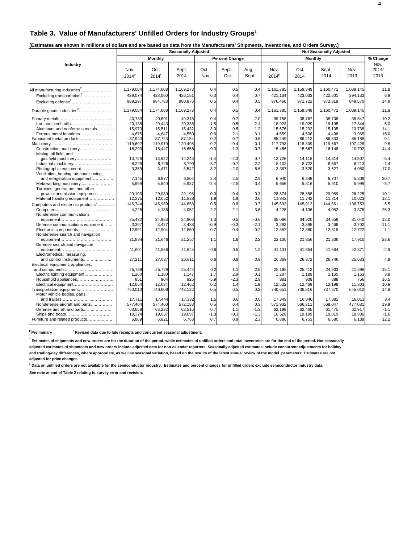# **Table 3. Value of Manufacturers' Unfilled Orders for Industry Groups**<sup>1</sup>

| [Estimates are shown in millions of dollars and are based on data from the Manufacturers' Shipments, Inventories, and Orders Survey.] |  |
|---------------------------------------------------------------------------------------------------------------------------------------|--|
|                                                                                                                                       |  |

|                                                                                                                                                    |                                                                    |                                                                    | <b>Seasonally Adjusted</b>                                         |                                                        | <b>Not Seasonally Adjusted</b>                      |                                                     |                                                                    |                                                                    |                                                                    |                                                                    |                                                   |
|----------------------------------------------------------------------------------------------------------------------------------------------------|--------------------------------------------------------------------|--------------------------------------------------------------------|--------------------------------------------------------------------|--------------------------------------------------------|-----------------------------------------------------|-----------------------------------------------------|--------------------------------------------------------------------|--------------------------------------------------------------------|--------------------------------------------------------------------|--------------------------------------------------------------------|---------------------------------------------------|
|                                                                                                                                                    |                                                                    | <b>Monthly</b>                                                     |                                                                    |                                                        | <b>Percent Change</b>                               |                                                     |                                                                    | <b>Monthly</b>                                                     |                                                                    |                                                                    | % Change                                          |
| Industry                                                                                                                                           | Nov.<br>2014 <sup>p</sup>                                          | Oct.<br>$2014$ <sup>r</sup>                                        | Sept.<br>2014                                                      | $Oct. -$<br>Nov.                                       | Sept. -<br>Oct.                                     | Aug. -<br>Sept.                                     | Nov.<br>2014 <sup>p</sup>                                          | Oct.<br>$2014$ <sup>r</sup>                                        | Sept.<br>2014                                                      | Nov.<br>2013                                                       | Nov.<br>2014/<br>2013                             |
| All manufacturing industries <sup>2</sup><br>Excluding transportation <sup>2</sup>                                                                 | 1,179,084<br>429,074                                               | 1,174,608<br>428,000                                               | 1,169,273<br>426,151                                               | 0.4<br>0.3                                             | 0.5<br>0.4                                          | 0.4<br>0.7                                          | 1,161,785<br>421,134                                               | 1,159,849<br>423,033                                               | 1,160,471<br>422,601                                               | 1,039,145<br>394,133                                               | 11.8<br>6.9                                       |
| Excluding defense <sup>2</sup>                                                                                                                     | 989,297                                                            | 984,783                                                            | 980,876                                                            | 0.5                                                    | 0.4                                                 | 0.5                                                 | 976,460                                                            | 971,722                                                            | 972,819                                                            | 849,570                                                            | 14.9                                              |
| Durable goods industries <sup>2</sup>                                                                                                              | 1,179,084                                                          | 1,174,608                                                          | 1,169,273                                                          | 0.4                                                    | 0.5                                                 | 0.4                                                 | 1,161,785                                                          | 1,159,849                                                          | 1,160,471                                                          | 1,039,145                                                          | 11.8                                              |
| Iron and steel mills<br>Aluminum and nonferrous metals<br>Ferrous metal foundries<br>Fabricated metal products<br>Construction machinery           | 40.783<br>20.138<br>15,970<br>4,675<br>87,940<br>119.692<br>16,393 | 40.601<br>20,443<br>15,511<br>4,647<br>87,723<br>119,970<br>16,447 | 40.318<br>20,336<br>15.432<br>4,550<br>87,154<br>120.495<br>16,658 | 0.4<br>$-1.5$<br>3.0<br>0.6<br>0.2<br>$-0.2$<br>$-0.3$ | 0.7<br>0.5<br>0.5<br>2.1<br>0.7<br>$-0.4$<br>$-1.3$ | 2.0<br>2.4<br>1.2<br>3.1<br>0.5<br>$-0.1$<br>$-0.7$ | 39.158<br>18.923<br>15,676<br>4,559<br>85,249<br>117.793<br>15,456 | 38.767<br>19,029<br>15,232<br>4,506<br>86,212<br>118,809<br>15,667 | 38.708<br>19.195<br>15,105<br>4,408<br>86,833<br>119.667<br>16,148 | 35.547<br>17.844<br>13,738<br>3,965<br>85,188<br>107.428<br>10,702 | 10.2<br>6.0<br>14.1<br>15.0<br>0.1<br>9.6<br>44.4 |
| Mining, oil field, and<br>Industrial machinery<br>Photographic equipment<br>Ventilation, heating, air-conditioning,<br>and refrigeration equipment | 13,728<br>8,229<br>3,359<br>7,145                                  | 13,922<br>8,726<br>3,471<br>6,977                                  | 14,243<br>8,790<br>3,542<br>6.804                                  | $-1.4$<br>$-5.7$<br>$-3.2$<br>2.4                      | $-2.3$<br>$-0.7$<br>$-2.0$<br>2.5                   | 0.7<br>2.2<br>$-8.6$<br>2.9                         | 13.726<br>8,102<br>3,387<br>6.940                                  | 14,118<br>8,723<br>3,529<br>6.848                                  | 14,314<br>8,657<br>3,627<br>6,707                                  | 14,507<br>8,213<br>4,080<br>5.309                                  | $-5.4$<br>$-1.4$<br>$-17.0$<br>30.7               |
| Metalworking machinery<br>Turbines, generators, and other<br>power transmission equipment<br>Material handling equipment                           | 5,699<br>29,103<br>12,275                                          | 5,840<br>29,089<br>12,052                                          | 5,987<br>29,198<br>11,828                                          | $-2.4$<br>0.0<br>1.9                                   | $-2.5$<br>$-0.4$<br>1.9                             | $-3.4$<br>0.3<br>0.6                                | 5,656<br>28,874<br>11,842                                          | 5,816<br>28,868<br>11,742                                          | 5,910<br>29,089<br>11,814                                          | 5,999<br>26,225<br>10,023                                          | $-5.7$<br>10.1<br>18.1                            |
| Computers and electronic products <sup>2</sup><br>Nondefense communications                                                                        | 146,744<br>4,228                                                   | 145,989<br>4,136                                                   | 144,858<br>4,052                                                   | 0.5<br>2.2                                             | 0.8<br>2.1                                          | 0.7<br>3.6                                          | 145,593<br>4,228                                                   | 145,913<br>4,136                                                   | 144,661<br>4,052                                                   | 136,753<br>3,375                                                   | 6.5<br>25.3                                       |
| Defense communications equipment<br>Electronic components<br>Nondefense search and navigation                                                      | 35.432<br>3,397<br>12,991                                          | 34,983<br>3,427<br>12,904                                          | 34,806<br>3,438<br>12,850                                          | 1.3<br>$-0.9$<br>0.7                                   | 0.5<br>$-0.3$<br>0.4                                | $-0.6$<br>$-2.1$<br>$-0.2$                          | 35.086<br>3,292<br>12,857                                          | 34,920<br>3,395<br>12,880                                          | 34,658<br>3,466<br>12,819                                          | 31.040<br>3,702<br>12,722                                          | 13.0<br>$-11.1$<br>1.1                            |
| Defense search and navigation                                                                                                                      | 21,884                                                             | 21,646                                                             | 21,257                                                             | 1.1                                                    | 1.8                                                 | 2.2                                                 | 22,130                                                             | 21,856                                                             | 21,336                                                             | 17,910                                                             | 23.6                                              |
| Electromedical, measuring,                                                                                                                         | 41.601<br>27,211                                                   | 41,856<br>27,037                                                   | 41,644                                                             | $-0.6$<br>0.6                                          | 0.5                                                 | 1.2<br>0.9                                          | 41,131                                                             | 41,854<br>26,872                                                   | 41,584                                                             | 42,371<br>25,633                                                   | $-2.9$<br>4.8                                     |
| and control instruments<br>Electrical equipment, appliances,                                                                                       | 25.789                                                             | 25,729                                                             | 26,811<br>25.444                                                   | 0.2                                                    | 0.8<br>1.1                                          | 2.6                                                 | 26,869<br>25.198                                                   | 25.412                                                             | 26,746<br>24.933                                                   | 21.898                                                             | 15.1                                              |
| Electric lighting equipment<br>Household appliances<br>Electrical equipment<br>Transportation equipment<br>Motor vehicle bodies, parts.            | 1,200<br>851<br>12,654<br>750,010                                  | 1,180<br>904<br>12,634<br>746,608                                  | 1,147<br>925<br>12,462<br>743,122                                  | 1.7<br>$-5.9$<br>0.2<br>0.5                            | 2.9<br>$-2.3$<br>1.4<br>0.5                         | 0.1<br>2.9<br>1.9<br>0.2                            | 1,207<br>881<br>12,522<br>740,651                                  | 1,189<br>908<br>12,469<br>736,816                                  | 1,165<br>888<br>12,198<br>737,870                                  | 1,163<br>756<br>11,303<br>645,012                                  | 3.8<br>16.5<br>10.8<br>14.8                       |
| Nondefense aircraft and parts<br>Defense aircraft and parts<br>Furniture and related products                                                      | 17,711<br>577,404<br>63,658<br>19,374<br>6,869                     | 17.444<br>574,460<br>63,232<br>19,637<br>6.821                     | 17,332<br>572,188<br>62,515<br>19,697<br>6,763                     | 1.5<br>0.5<br>0.7<br>$-1.3$<br>0.7                     | 0.6<br>0.4<br>1.1<br>$-0.3$<br>0.9                  | 0.8<br>0.3<br>$-1.3$<br>$-1.3$<br>2.3               | 17,349<br>571,932<br>62,198<br>18,528<br>6,886                     | 16,840<br>566,811<br>62,465<br>19,199<br>6.753                     | 17,081<br>568,047<br>61,475<br>19,819<br>6,680                     | 16,011<br>477,031<br>62.917<br>18,836<br>6,138                     | 8.4<br>19.9<br>$-1.1$<br>$-1.6$<br>12.2           |

<sup>p</sup> Preliminary **read Figure 1 Revised data due to late receipts and concurrent seasonal adjustment.** 

**1 Estimates of shipments and new orders are for the duration of the period, while estimates of unfilled orders and total inventories are for the end of the period. Not seasonally**

**adjusted estimates of shipments and new orders include adjusted data for non-calendar reporters. Seasonally adjusted estimates include concurrent adjustments for holiday and trading-day differences, where appropriate, as well as seasonal variation, based on the results of the latest annual review of the model parameters. Estimates are not adjusted for price changes.**

<sup>2</sup> Data on unfilled orders are not available for the semiconductor industry. Estimates and percent changes for unfilled orders exclude semiconductor industry data.

**See note at end of Table 2 relating to survey error and revision.**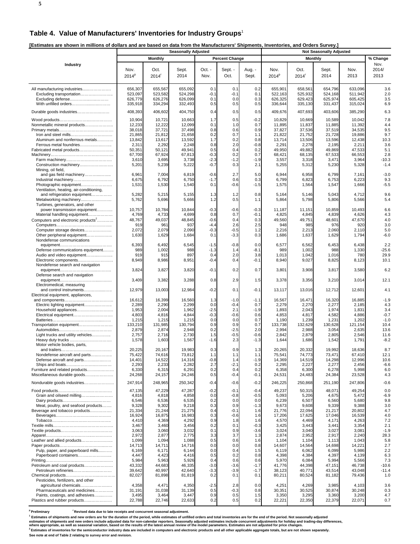# **Table 4. Value of Manufacturers' Inventories for Industry Groups**<sup>1</sup>

**[Estimates are shown in millions of dollars and are based on data from the Manufacturers' Shipments, Inventories, and Orders Survey.]** 

|                                                                      | <b>Seasonally Adjusted</b> |                           |                    |                  |                       |                  |                           | , , , , , , , , , ,<br><b>Not Seasonally Adjusted</b> |                    |                    |                       |  |  |
|----------------------------------------------------------------------|----------------------------|---------------------------|--------------------|------------------|-----------------------|------------------|---------------------------|-------------------------------------------------------|--------------------|--------------------|-----------------------|--|--|
|                                                                      |                            | <b>Monthly</b>            |                    |                  | <b>Percent Change</b> |                  |                           | <b>Monthly</b>                                        |                    |                    | % Change              |  |  |
| Industry                                                             | Nov.<br>2014 <sup>p</sup>  | Oct.<br>2014 <sup>r</sup> | Sept.<br>2014      | Oct. -<br>Nov.   | Sept. -<br>Oct.       | Aug. -<br>Sept.  | Nov.<br>2014 <sup>p</sup> | Oct.<br>2014 <sup>r</sup>                             | Sept.<br>2014      | Nov.<br>2013       | Nov.<br>2014/<br>2013 |  |  |
| All manufacturing industries<br>Excluding transportation             | 656,307<br>523,097         | 655,567<br>523,582        | 655,092<br>524,298 | 0.1<br>$-0.1$    | 0.1<br>$-0.1$         | 0.2<br>0.1       | 655,901<br>522,163        | 658,561<br>525,932                                    | 654,796<br>524,168 | 633.096<br>511,942 | 3.6<br>2.0            |  |  |
| Excluding defense<br>With unfilled orders                            | 626,779<br>335,918         | 626,276<br>334,294        | 626,099<br>332,493 | 0.1<br>0.5       | 0.0<br>0.5            | 0.3<br>0.5       | 626,325<br>336,644        | 629,423<br>335,130                                    | 625,974<br>331,437 | 605,425<br>315,024 | 3.5<br>6.9            |  |  |
| Durable goods industries                                             | 408,393                    | 406,602                   | 404,750            | 0.4              | 0.5                   | 0.5              | 409,676                   | 407,693                                               | 403,606            | 385,290            | 6.3                   |  |  |
| Nonmetallic mineral products                                         | 10,904<br>12,233           | 10,721<br>12,222          | 10,663<br>12,099   | 1.7<br>0.1       | 0.5<br>1.0            | $-0.2$<br>0.7    | 10,829<br>11,895          | 10,669<br>11,837                                      | 10,589<br>11,885   | 10,042<br>11,392   | 7.8<br>4.4            |  |  |
|                                                                      | 38,018<br>21,865           | 37,721<br>21,812          | 37,498<br>21,658   | 0.8<br>0.2       | 0.6<br>0.7            | 0.9<br>1.1       | 37,827<br>21,822          | 37,536<br>21,752                                      | 37,519<br>21,728   | 34,535<br>19,886   | 9.5<br>9.7            |  |  |
| Aluminum and nonferrous metals<br>Ferrous metal foundries            | 13,842<br>2,311            | 13,617<br>2,292           | 13,592<br>2,248    | 1.7<br>0.8       | 0.2<br>2.0            | 0.8<br>$-0.8$    | 13,714<br>2,29            | 13,506<br>2,278                                       | 13,596<br>2,195    | 12,438<br>2,211    | 10.3<br>3.6           |  |  |
| Fabricated metal products                                            | 50,351                     | 50,121<br>67,924          | 49,941<br>67,813   | 0.5              | 0.4<br>0.2            | 0.2<br>0.7       | 49,950<br>68,421          | 49,882<br>68,135                                      | 49,869<br>67,533   | 47,533             | 5.1<br>2.8            |  |  |
|                                                                      | 67,700<br>3,610            | 3,695                     | 3,738              | $-0.3$<br>$-2.3$ | $-1.2$                | $-1.9$           | 3,557                     | 3,318                                                 | 3,471              | 66,553<br>3,964    | $-10.3$               |  |  |
| Construction machinery<br>Mining, oil field,                         | 5,201                      | 5,239                     | 5,222              | $-0.7$           | 0.3                   | 2.1              | 5,255                     | 5,312                                                 | 5,230              | 5,328              | $-1.4$                |  |  |
| and gas field machinery                                              | 6,961<br>6,675             | 7,004<br>6,792            | 6,819<br>6,750     | $-0.6$<br>$-1.7$ | 2.7<br>0.6            | 5.0<br>0.3       | 6,944<br>6,799            | 6,958<br>6,823                                        | 6,799<br>6,753     | 7,161<br>6,223     | $-3.0$<br>9.3         |  |  |
| Photographic equipment<br>Ventilation, heating, air-conditioning,    | 1,531                      | 1,530                     | 1,540              | 0.1              | -0.6                  | $-1.5$           | 1,575                     | 1,564                                                 | 1,547              | 1,666              | $-5.5$                |  |  |
| and refrigeration equipment<br>Metalworking machinery                | 5,282<br>5,762             | 5,215<br>5,696            | 5,155<br>5,666     | 1.3<br>1.2       | 1.2<br>0.5            | 0.8<br>1.1       | 5,164<br>5,864            | 5,146<br>5,798                                        | 5,043<br>5,806     | 4,712<br>5,566     | 9.6<br>5.4            |  |  |
| Turbines, generators, and other<br>power transmission equipment      | 10,757                     | 10,784                    | 10,844             | $-0.3$           | -0.6                  | $-0.3$           | 11,187                    | 11,151                                                | 10,859             | 10,493             | 6.6                   |  |  |
| Material handling equipment                                          | 4,769                      | 4,733<br>49,037           | 4,699              | 0.8<br>$-0.6$    | 0.7                   | $-0.1$<br>0.3    | 4,825<br>49,560           | 4,845                                                 | 4,839              | 4,626              | 4.3<br>4.0            |  |  |
| Computers and electronic products <sup>2</sup>                       | 48,767<br>919              | 961                       | 48,845<br>937      | -4.4             | 0.4<br>2.6            | 2.5              | 948                       | 49,751<br>985                                         | 48,601<br>976      | 47,670<br>920      | 3.0                   |  |  |
| Computer storage devices<br>Other peripheral equipment               | 2,072<br>1,630             | 2,079<br>1,629            | 2,090<br>1,684     | $-0.3$<br>0.1    | -0.5<br>-3.3          | 1.2<br>0.3       | 2,216<br>1,686            | 2,213<br>1,637                                        | 2,060<br>1,629     | 2,110<br>1,794     | 5.0<br>$-6.0$         |  |  |
| Nondefense communications                                            |                            |                           |                    |                  |                       |                  |                           |                                                       |                    |                    |                       |  |  |
| Defense communications equipment                                     | 6,393<br>989               | 6,492<br>1,002            | 6,545<br>988       | $-1.5$<br>$-1.3$ | $-0.8$<br>1.4         | 0.0<br>$-8.1$    | 6,577<br>989              | 6,562<br>1,002                                        | 6,453<br>988       | 6,438<br>1,330     | 2.2<br>$-25.6$        |  |  |
| Audio and video equipment                                            | 919                        | 915                       | 897                | 0.4              | 2.0                   | 3.8              | 1,013                     | 1,042                                                 | 1,016              | 780                | 29.9                  |  |  |
| Electronic components<br>Nondefense search and navigation            | 8,949                      | 8,986                     | 8,951              | -0.4             | 0.4                   | $-0.1$           | 8,940                     | 9,027                                                 | 8,825              | 8,123              | 10.1                  |  |  |
| Defense search and navigation                                        | 3,824                      | 3,827                     | 3,820              | $-0.1$           | 0.2                   | 0.7              | 3,801                     | 3,908                                                 | 3,817              | 3,580              | 6.2                   |  |  |
| Electromedical, measuring                                            | 3,409                      | 3,382                     | 3,288              | 0.8              | 2.9                   | 1.5              | 3,378                     | 3,356                                                 | 3,210              | 3,014              | 12.1                  |  |  |
| and control instruments<br>Electrical equipment, appliances,         | 12,979                     | 13,003                    | 12,984             | $-0.2$           | 0.1                   | $-0.1$           | 13,117                    | 13,016                                                | 12,712             | 12,601             | 4.1                   |  |  |
| Electric lighting equipment                                          | 16,612<br>2,289            | 16,399<br>2,290           | 16,560<br>2,299    | 1.3<br>0.0       | $-1.0$<br>$-0.4$      | $-1.1$<br>0.7    | 16,567<br>2,279           | 16,471<br>2,270                                       | 16,320<br>2,277    | 16,885<br>2,185    | $-1.9$<br>4.3         |  |  |
|                                                                      | 1,953                      | 2,004                     | 1,962              | $-2.5$           | 2.1                   | $-1.9$           | 1,893                     | 2,043                                                 | 1,974              | 1,831              | 3.4                   |  |  |
|                                                                      | 4,803                      | 4,816                     | 4,844              | -0.3             | -0.6                  | 0.6              | 4,853                     | 4,817                                                 | 4,582              | 4,886              | $-0.7$                |  |  |
| Transportation equipment                                             | 1,215<br>133,210           | 1,215<br>131,985          | 1,215<br>130,794   | 0.0<br>0.9       | 0.0<br>0.9            | 0.7<br>0.7       | 1,190<br>133,738          | 1,239<br>132,629                                      | 1,231<br>130,628   | 1,202<br>121,154   | $-1.0$<br>10.4        |  |  |
|                                                                      | 2,879                      | 2,874                     | 2,948              | 0.2              | $-2.5$                | 2.0              | 2,994                     | 2,988                                                 | 3,054              | 2,635              | 13.6                  |  |  |
| Light trucks and utility vehicles<br>Motor vehicle bodies, parts,    | 2,757<br>1,578             | 2,716<br>1,603            | 2,730<br>1,567     | 1.5<br>$-1.6$    | -0.5<br>2.3           | $-0.6$<br>$-1.3$ | 2,842<br>1,644            | 2,879<br>1,686                                        | 2,805<br>1,542     | 2,546<br>1,791     | 11.6<br>$-8.2$        |  |  |
|                                                                      | 20,225<br>75,42            | 20,167<br>74,616          | 19,983<br>73,812   | 0.3<br>1.        | 0.9                   | 1.3              | 20,265<br>75,54'          | 20,332<br>74,773                                      | 19,992             | 18,636             | 8.7<br>12.1           |  |  |
| Nondefense aircraft and parts<br>Defense aircraft and parts          | 14,401                     | 14,522                    | 14,316             | $-0.8$           | 1.3<br>1.4            | $-1.9$           | 14,369                    | 14,519                                                | 73,471<br>14,298   | 67,410<br>12,996   | 10.6                  |  |  |
| Ships and boats<br>Furniture and related products                    | 2,293<br>6,330             | 2,233<br>6,315            | 2,282<br>6,291     | 2.7<br>0.2       | $-2.1$<br>0.4         | 0.2<br>0.2       | 2,295<br>6,358            | 2,227<br>6,300                                        | 2,277<br>6,278     | 2,456<br>5,998     | $-6.6$<br>6.0         |  |  |
| Miscellaneous durable goods                                          | 24,268                     | 24,157                    | 24,246             | 0.5              | -0.4                  | $-0.1$           | 24,531                    | 24,483                                                | 24,384             | 23,528             | 4.3                   |  |  |
| Nondurable goods industries                                          | 247,914                    | 248,965                   | 250,342            | $-0.4$           | $-0.6$                | $-0.2$           | 246,225                   | 250,868                                               | 251,190            | 247,806            | $-0.6$                |  |  |
| Grain and oilseed milling                                            | 47,135<br>4,816            | 47,229<br>4,818           | 47,287<br>4,858    | $-0.2$<br>0.0    | $-0.1$<br>$-0.8$      | $-0.4$<br>$-0.5$ | 49,237<br>5,093           | 50,315<br>5,206                                       | 48,071<br>4,675    | 49,254<br>5,472    | 0.0<br>$-6.9$         |  |  |
|                                                                      | 6,546                      | 6,536                     | 6,535              | 0.2              | 0.0                   | 0.0              | 6,239                     | 6,507                                                 | 6,560              | 5,680              | 9.8                   |  |  |
| Meat, poultry, and seafood products<br>Beverage and tobacco products | 9,328<br>21,334            | 9,302<br>21,244           | 9,218<br>21,275    | 0.3<br>0.4       | 0.9<br>-0.1           | $-1.3$<br>1.6    | 9,673<br>21,776           | 9,608<br>22,094                                       | 9,339<br>21,217    | 9,388<br>20,802    | 3.0<br>4.7            |  |  |
|                                                                      | 16,924                     | 16,875                    | 16,983             | 0.3              | $-0.6$                | 1.6              | 17,206                    | 17,625                                                | 17,046             | 16,539             | 4.0                   |  |  |
|                                                                      | 4,410                      | 4,369                     | 4,292              | 0.9              | 1.8                   | 1.6              | 4,570                     | 4,469                                                 | 4,171              | 4,263              | 7.2                   |  |  |
|                                                                      | 3,467<br>3,063             | 3,460<br>3,060            | 3,456<br>3,032     | 0.2<br>0.1       | 0.1<br>0.9            | $-0.3$<br>$-3.6$ | 3,425<br>3,024            | 3,443<br>3,040                                        | 3,441<br>3,027     | 3,354<br>3,081     | 2.1<br>$-1.9$         |  |  |
|                                                                      | 2,972                      | 2,877                     | 2,775              | 3.3              | 3.7                   | 1.3              | 2,874                     | 2,952                                                 | 2,917              | 2,240              | 28.3                  |  |  |
| Leather and allied products                                          | 1,099<br>14,713            | 1,094<br>14,711           | 1,088<br>14,716    | 0.5<br>0.0       | 0.6<br>0.0            | 1.6<br>0.8       | 1,104<br>14,607           | 1,104<br>14,564                                       | 1,113<br>14,698    | 1,043<br>14,221    | 5.8<br>2.7            |  |  |
| Pulp, paper, and paperboard mills                                    | 6,169                      | 6,171                     | 6,144              | 0.0              | 0.4                   | 1.5              | 6,119                     | 6,062                                                 | 6,099              | 5,986              | 2.2                   |  |  |
| Paperboard containers                                                | 4,447<br>5,984             | 4,423<br>5,963            | 4,416<br>5,926     | 0.5<br>0.4       | 0.2<br>0.6            | 0.8<br>0.6       | 4,398<br>5,970            | 4,384<br>6,084                                        | 4,397<br>5,994     | 4,139<br>5,566     | 6.3<br>7.3            |  |  |
| Petroleum and coal products                                          | 43,332                     | 44,683                    | 46,335             | $-3.0$           | $-3.6$                | $-1.7$           | 41,776                    | 44,398                                                | 47,151             | 46,738             | $-10.6$               |  |  |
| Petroleum refineries                                                 | 39,642<br>82,027           | 40,997<br>81,898          | 42,640<br>81,819   | $-3.3$<br>0.2    | -3.9<br>0.1           | $-1.7$<br>0.1    | 38,123<br>80,211          | 40,771<br>80,524                                      | 43,514<br>81,182   | 43,048<br>79,436   | $-11.4$<br>1.0        |  |  |
| Pesticides, fertilizers, and other<br>agricultural chemicals         | 4,358                      | 4,471                     | 4,350              | $-2.5$           | 2.8                   | 0.0              | 4,251                     | 4,269                                                 | 3,985              | 4,103              | 3.6                   |  |  |
| Pharmaceuticals and medicines                                        | 31,191                     | 31,038                    | 31,139             | 0.5              | $-0.3$                | 0.8              | 30,351                    | 30,525                                                | 30,874             | 30,248             | 0.3                   |  |  |
| Paints, coatings, and adhesives<br>Plastics and rubber products      | 3,495<br>22,788            | 3,464<br>22,746           | 3,447<br>22,633    | 0.9<br>0.2       | 0.5<br>0.5            | 1.5<br>0.2       | 3,350<br>22,221           | 3,295<br>22,350                                       | 3,360<br>22,379    | 3,200<br>22,071    | 4.7<br>0.7            |  |  |

<sup>p</sup> Preliminary **reliminary Revised data due to late receipts and concurrent seasonal adjustment.** 

<sup>1</sup> Estimates of shipments and new orders are for the duration of the period, while estimates of unfilled orders and total inventories are for the end of the period. Not seasonally adjusted

estimates of shipments and new orders include adjusted data for non-calendar reporters. Seasonally adjusted estimates include concurrent adjustments for holiday and trading-day differences,<br>where appropriate, as well as se

**See note at end of Table 2 relating to survey error and revision.**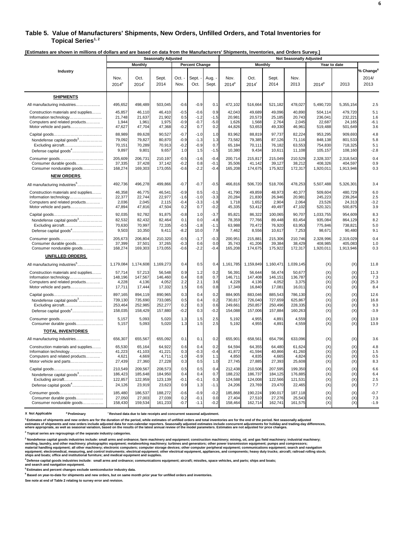#### **Table 5. Value of Manufacturers' Shipments, New Orders, Unfilled Orders, and Total Inventories for**  Topical Series<sup>1,2</sup>

**[Estimates are shown in millions of dollars and are based on data from the Manufacturers' Shipments, Inventories, and Orders Survey.]** 

|                                           | <b>Seasonally Adjusted</b> |              |               |              |                       | <b>Not Seasonally Adjusted</b> |                           |                           |               |              |           |              |                                        |
|-------------------------------------------|----------------------------|--------------|---------------|--------------|-----------------------|--------------------------------|---------------------------|---------------------------|---------------|--------------|-----------|--------------|----------------------------------------|
|                                           |                            | Monthly      |               |              | <b>Percent Change</b> |                                |                           | <b>Monthly</b>            |               |              |           | Year to date |                                        |
| Industry                                  | Nov.<br>$2014^p$           | Oct.<br>2014 | Sept.<br>2014 | Oct.<br>Nov. | Sept.<br>Oct.         | Aug.<br>Sept.                  | Nov.<br>2014 <sup>p</sup> | Oct.<br>2014 <sup>r</sup> | Sept.<br>2014 | Nov.<br>2013 | $2014^p$  | 2013         | % Change <sup>6</sup><br>2014/<br>2013 |
| <b>SHIPMENTS</b>                          |                            |              |               |              |                       |                                |                           |                           |               |              |           |              |                                        |
| All manufacturing industries.             | 495,652                    | 498,489      | 503,045       | $-0.6$       | $-0.9$                | 0.1                            | 472,102                   | 516,664                   | 521,182       | 478,027      | 5,490,720 | 5,355,154    | 2.5                                    |
| Construction materials and supplies       | 45,857                     | 46,110       | 46,410        | $-0.5$       | $-0.6$                | 0.9                            | 42,043                    | 49,689                    | 49,096        | 40,890       | 504,114   | 479,720      | 5.1                                    |
|                                           | 21,748                     | 21,637       | 21,902        | 0.5          | $-1.2$                | $-1.5$                         | 20,98'                    | 20,573                    | 25,185        | 20,743       | 236,041   | 232,221      | 1.6                                    |
| Computers and related products            | 1,944                      | 1,961        | 1,975         | $-0.9$       | $-0.7$                | $-5.0$                         | 1,626                     | 1,568                     | 2,764         | 2,045        | 22,687    | 24,165       | $-6.1$                                 |
| Motor vehicle and parts                   | 47,627                     | 47,704       | 47,368        | $-0.2$       | 0.7                   | 0.2                            | 44,826                    | 53,653                    | 49,330        | 46,961       | 519,488   | 501,649      | 3.6                                    |
|                                           | 88,989                     | 89,628       | 90,527        | $-0.7$       | $-1.0$                | 1.0                            | 83,962                    | 88,819                    | 97,737        | 82,224       | 953,295   | 909,693      | 4.8                                    |
| Nondefense capital goods <sup>3</sup>     | 79,092                     | 79,827       | 80,870        | $-0.9$       | $-1.3$                | 1.3                            | 73,582                    | 79,385                    | 87,126        | 71,116       | 848,138   | 801,533      | 5.8                                    |
| Excluding aircraft                        | 70,151                     | 70,289       | 70,913        | $-0.2$       | $-0.9$                | 0.7                            | 65,184                    | 70,111                    | 76,182        | 63,553       | 754,830   | 718,325      | 5.1                                    |
| Defense capital goods <sup>4</sup>        | 9,897                      | 9,801        | 9,657         | 1.0          | 1.5                   | $-1.5$                         | 10,380                    | 9,434                     | 10,611        | 11,108       | 105,157   | 108,160      | $-2.8$                                 |
|                                           | 205.609                    | 206.731      | 210.197       | $-0.5$       | $-1.6$                | $-0.4$                         | 200.714                   | 215.817                   | 215.049       | 210.529      | 2.328.337 | 2.318.543    | 0.4                                    |
| Consumer durable goods                    | 37,335                     | 37,428       | 37,142        | $-0.2$       | 0.8                   | $-0.1$                         | 35,506                    | 41,142                    | 39,127        | 38,212       | 408,326   | 404,597      | 0.9                                    |
| Consumer nondurable goods                 | 168,274                    | 169,303      | 173,055       | $-0.6$       | $-2.2$                | $-0.4$                         | 165,208                   | 174,675                   | 175,922       | 172,317      | 1,920,011 | 1,913,946    | 0.3                                    |
| <b>NEW ORDERS</b>                         |                            |              |               |              |                       |                                |                           |                           |               |              |           |              |                                        |
| All manufacturing industries <sup>5</sup> | 492,736                    | 496,278      | 499,866       | $-0.7$       | $-0.7$                | $-0.5$                         | 466,816                   | 506,720                   | 518,706       | 478,253      | 5,507,488 | 5,326,301    | 3.4                                    |
| Construction materials and supplies       | 46,358                     | 46,775       | 46,541        | $-0.9$       | 0.5                   | $-0.1$                         | 41,790                    | 49,859                    | 48,973        | 40,377       | 509,604   | 480,729      | 6.0                                    |
| Information technology                    | 22,377                     | 22,744       | 22,977        | $-1.6$       | $-1.0$                | $-3.3$                         | 20,284                    | 21,830                    | 26,946        | 20,981       | 245,223   | 239,264      | 2.5                                    |
| Computers and related products            | 2,036                      | 2,045        | 2,115         | $-0.4$       | $-3.3$                | $-1.9$                         | 1,718                     | 1,652                     | 2,904         | 2,064        | 23,526    | 24,313       | $-3.2$                                 |
| Motor vehicle and parts                   | 47,894                     | 47,816       | 47,504        | 0.2          | 0.7                   | $-0.2$                         | 45,335                    | 53,412                    | 49,497        | 47,102       | 520,321   | 500,875      | 3.9                                    |
|                                           | 92,035                     | 92,782       | 91,875        | $-0.8$       | 1.0                   | $-3.7$                         | 85,821                    | 86.322                    | 100.065       | 90,707       | 1,033,755 | 954,609      | 8.3                                    |
| Nondefense capital goods <sup>3</sup>     | 82,532                     | 82,432       | 82,464        | 0.1          | 0.0                   | $-4.8$                         | 78,359                    | 77,766                    | 89,448        | 83,454       | 935,084   | 864,129      | 8.2                                    |
| Excluding aircraft                        | 70,630                     | 70.997       | 72,335        | $-0.5$       | $-1.8$                | $-1.1$                         | 63,988                    | 70.472                    | 76.920        | 63.953       | 775,846   | 738.821      | 5.0                                    |
| Defense capital goods <sup>4</sup>        | 9,503                      | 10,350       | 9,411         | $-8.2$       | 10.0                  | 7.9                            | 7,462                     | 8,556                     | 10,617        | 7,253        | 98,671    | 90,480       | 9.1                                    |
|                                           | 205,673                    | 206.804      | 210,320       | $-0.5$       | $-1.7$                | $-0.3$                         | 200,951                   | 215,881                   | 215,306       | 210,746      | 2,328,996 | 2,319,029    | 0.4                                    |
| Consumer durable goods                    | 37,399                     | 37,501       | 37,265        | $-0.3$       | 0.6                   | 0.0                            | 35,743                    | 41,206                    | 39,384        | 38,429       | 408,985   | 405,083      | 1.0                                    |
| Consumer nondurable goods                 | 168,274                    | 169,303      | 173,055       | $-0.6$       | $-2.2$                | $-0.4$                         | 165,208                   | 174,675                   | 175,922       | 172,317      | 1,920,011 | 1,913,946    | 0.3                                    |
| <b>UNFILLED ORDERS</b>                    |                            |              |               |              |                       |                                |                           |                           |               |              |           |              |                                        |
| All manufacturing industries <sup>5</sup> | 1,179,084                  | 1,174,608    | 1,169,273     | 0.4          | 0.5                   | 0.4                            | 1,161,785                 | 1,159,849                 | 1,160,471     | 1,039,145    | (X)       | (X)          | 11.8                                   |
| Construction materials and supplies       | 57,714                     | 57,213       | 56,548        | 0.9          | 1.2                   | 0.2                            | 56,391                    | 56,644                    | 56,474        | 50,677       | (X)       | (X)          | 11.3                                   |
| Information technology                    | 148,196                    | 147,567      | 146,460       | 0.4          | 0.8                   | 0.7                            | 146,71'                   | 147,408                   | 146,151       | 136,787      | (X)       | (X)          | 7.3                                    |
| Computers and related products            | 4,228                      | 4.136        | 4.052         | 2.2          | 2.1                   | 3.6                            | 4.228                     | 4.136                     | 4.052         | 3.375        | (X)       | (X)          | 25.3                                   |
| Motor vehicle and parts                   | 17,711                     | 17,444       | 17,332        | 1.5          | 0.6                   | 0.8                            | 17,349                    | 16,840                    | 17,081        | 16,011       | (X)       | (X)          | 8.4                                    |
|                                           | 897,165                    | 894,119      | 890,965       | 0.3          | 0.4                   | 0.2                            | 884,905                   | 883,046                   | 885,543       | 786,130      | (X)       | (X)          | 12.6                                   |
| Nondefense capital goods <sup>3</sup>     | 739,130                    | 735,690      | 733,085       | 0.5          | 0.4                   | 0.2                            | 730,817                   | 726,040                   | 727,659       | 625,867      | (X)       | (X)          | 16.8                                   |
| Excluding aircraft                        | 253,464                    | 252,985      | 252,277       | 0.2          | 0.3                   | 0.6                            | 249,661                   | 250,857                   | 250,496       | 228,335      | (X)       | (X)          | 9.3                                    |
| Defense capital goods <sup>4</sup>        | 158,035                    | 158,429      | 157,880       | $-0.2$       | 0.3                   | $-0.2$                         | 154,088                   | 157,006                   | 157,884       | 160,263      | (X)       | (X)          | $-3.9$                                 |
|                                           | 5,157                      | 5,093        | 5,020         | 1.3          | 1.5                   | 2.5                            | 5,192                     | 4,955                     | 4,891         | 4,559        | (X)       | (X)          | 13.9                                   |
| Consumer durable goods                    | 5,157                      | 5,093        | 5,020         | 1.3          | 1.5                   | 2.5                            | 5,192                     | 4,955                     | 4,891         | 4,559        | (X)       | (X)          | 13.9                                   |
| <b>TOTAL INVENTORIES</b>                  |                            |              |               |              |                       |                                |                           |                           |               |              |           |              |                                        |
| All manufacturing industries              | 656,307                    | 655,567      | 655,092       | 0.1          | 0.1                   | 0.2                            | 655,901                   | 658,561                   | 654,796       | 633,096      | (X)       | (X)          | 3.6                                    |
| Construction materials and supplies       | 65,530                     | 65,164       | 64,922        | 0.6          | 0.4                   | 0.2                            | 64,594                    | 64,355                    | 64,480        | 61,624       | (X)       | (X)          | 4.8                                    |
| Information technology                    | 41,223                     | 41,103       | 41,221        | 0.3          | $-0.3$                | $-0.4$                         | 41,872                    | 41,594                    | 40,866        | 41,260       | (X)       | (X)          | 1.5                                    |
| Computers and related products            | 4,621                      | 4,669        | 4,711         | $-1.0$       | $-0.9$                | 1.1                            | 4,850                     | 4,835                     | 4,665         | 4,824        | (X)       | (X)          | 0.5                                    |
| Motor vehicle and parts                   | 27,439                     | 27,360       | 27,228        | 0.3          | 0.5                   | 1.0                            | 27,745                    | 27,885                    | 27,393        | 25,608       | (X)       | (X)          | 8.3                                    |
|                                           | 210,549                    | 209,567      | 208,573       | 0.5          | 0.5                   | 0.4                            | 212,438                   | 210,506                   | 207,595       | 199,350      | (X)       | (X)          | 6.6                                    |
| Nondefense capital goods <sup>3</sup>     | 186,423                    | 185,648      | 184,950       | 0.4          | 0.4                   | 0.7                            | 188,232                   | 186,737                   | 184,125       | 176,885      | (X)       | (X)          | 6.4                                    |
| Excluding aircraft                        | 122,857                    | 122,959      | 123,139       | $-0.1$       | $-0.1$                | 0.3                            | 124,588                   | 124,008                   | 122,566       | 121,531      | (X)       | (X)          | 2.5                                    |
| Defense capital goods <sup>4</sup>        | 24,126                     | 23,919       | 23,623        | 0.9          | 1.3                   | $-1.1$                         | 24,206                    | 23,769                    | 23,470        | 22,465       | (X)       | (X)          | 7.7                                    |
|                                           | 185,480                    | 186,537      | 188,272       | $-0.6$       | $-0.9$                | $-0.2$                         | 185,868                   | 190,224                   | 190,017       | 187,118      | (X)       | (X)          | $-0.7$                                 |
| Consumer durable goods                    | 27,050                     | 27,003       | 27,039        | 0.2          | $-0.1$                | 0.0                            | 27,404                    | 27,510                    | 27,276        | 25,543       | (X)       | (X)          | 7.3                                    |
| Consumer nondurable goods                 | 158,430                    | 159,534      | 161,233       | $-0.7$       | $-1.1$                | $-0.2$                         | 158,464                   | 162,714                   | 162,741       | 161,575      | (X)       | (X)          | $-1.9$                                 |

**X** Not Applicable <sup>p</sup> Preliminary <sup>r</sup> Revised data due to late receipts and concurrent seasonal adjustment.

.<br>Estimates of shipments and new orders are for the duration of the period, while estimates of unfilled orders and total inventories are for the end of the period. Not seasonally adjusted<br>estimates of shipments and new ord

**2 Topical series are regroupings of the separate industry categories.**

<sup>3</sup> Nondefense capital goods industries include: small arms and ordnance; farm machinery and equipment; construction machinery; mining, oil, and gas field machinery; industrial machinery;<br>vending, laundry, and other machin

**4 Defense capital goods industries include: small arms and ordnance; communications equipment; aircraft; missiles, space vehicles, and parts; ships and boats; and search and navigation equipment.**

**5 Estimates and percent changes exclude semiconductor industry data.** 

**6 Based on year-to-date for shipments and new orders, but on same month prior year for unfilled orders and inventories.**

**See note at end of Table 2 relating to survey error and revision.**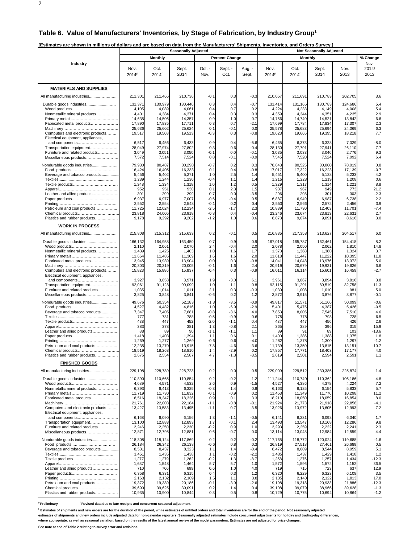**7**

|                                                                        |                   | [Estimates are shown in millions of dollars and are based on data from the Manufacturers' Shipments, Inventories, and Orders Survey.<br><b>Seasonally Adjusted</b> |                   |                  |                       |                  |                   | <b>Not Seasonally Adjusted</b> |                   |                   |                 |  |  |  |
|------------------------------------------------------------------------|-------------------|--------------------------------------------------------------------------------------------------------------------------------------------------------------------|-------------------|------------------|-----------------------|------------------|-------------------|--------------------------------|-------------------|-------------------|-----------------|--|--|--|
|                                                                        |                   |                                                                                                                                                                    |                   |                  |                       |                  |                   |                                |                   |                   |                 |  |  |  |
|                                                                        |                   | <b>Monthly</b>                                                                                                                                                     |                   |                  | <b>Percent Change</b> |                  |                   | <b>Monthly</b>                 |                   |                   | % Change        |  |  |  |
| Industry                                                               | Nov.              | Oct.                                                                                                                                                               | Sept.             | Oct. -           | Sept. -               | Aug. -           | Nov.              | Oct.                           | Sept.             | Nov.              | Nov.<br>2014/   |  |  |  |
|                                                                        | 2014 <sup>P</sup> | 2014 <sup>r</sup>                                                                                                                                                  | 2014              | Nov.             | Oct.                  | Sept.            | 2014 <sup>P</sup> | 2014 <sup>r</sup>              | 2014              | 2013              | 2013            |  |  |  |
|                                                                        |                   |                                                                                                                                                                    |                   |                  |                       |                  |                   |                                |                   |                   |                 |  |  |  |
| <b>MATERIALS AND SUPPLIES</b>                                          |                   |                                                                                                                                                                    |                   |                  |                       |                  |                   |                                |                   |                   |                 |  |  |  |
| All manufacturing industries                                           | 211,301           | 211,466                                                                                                                                                            | 210,736           | $-0.1$           | 0.3                   | $-0.3$           | 210,057           | 211,691                        | 210,783           | 202,705           | 3.6             |  |  |  |
|                                                                        | 131,371           | 130,979                                                                                                                                                            | 130,446           | 0.3              | 0.4                   | $-0.7$           | 131,414           | 131,166                        | 130,783           | 124,686           | 5.4             |  |  |  |
|                                                                        | 4,105             | 4,089                                                                                                                                                              | 4,061             | 0.4              | 0.7                   | 0.2              | 4,224             | 4,233                          | 4,149             | 4,008             | 5.4             |  |  |  |
| Nonmetallic mineral products                                           | 4,401             | 4,384                                                                                                                                                              | 4,371             | 0.4              | 0.3                   | 0.3              | 4,359             | 4,344                          | 4,351             | 4,235             | 2.9             |  |  |  |
| Fabricated metal products                                              | 14,635<br>17,890  | 14,506<br>17,835                                                                                                                                                   | 14,357<br>17,711  | 0.9<br>0.3       | 1.0<br>0.7            | 0.7<br>$-2.1$    | 14,756<br>17,699  | 14,740<br>17,784               | 14,521<br>17,834  | 13,842<br>17,307  | 6.6<br>2.3      |  |  |  |
|                                                                        | 25,636            | 25,602                                                                                                                                                             | 25,624            | 0.1              | $-0.1$                | 0.0              | 25,578            | 25,683                         | 25,694            | 24,069            | 6.3             |  |  |  |
| Computers and electronic products<br>Electrical equipment, appliances, | 19,517            | 19,568                                                                                                                                                             | 19,513            | $-0.3$           | 0.3                   | $-0.8$           | 19,623            | 19,665                         | 19,395            | 18,218            | 7.7             |  |  |  |
| and components                                                         | 6,517             | 6,456                                                                                                                                                              | 6,433             | 0.9              | 0.4                   | $-5.6$           | 6,465             | 6,373                          | 6,328             | 7,029             | $-8.0$          |  |  |  |
| Transportation equipment                                               | 28,049            | 27,974                                                                                                                                                             | 27,802            | 0.3              | 0.6                   | $-0.4$           | 28,130            | 27,79'                         | 27,941            | 26,110            | 7.7             |  |  |  |
| Furniture and related products<br>Miscellaneous products               | 3,049<br>7,572    | 3,051<br>7,514                                                                                                                                                     | 3,050<br>7,524    | $-0.1$<br>0.8    | 0.0<br>-0.1           | $-0.1$<br>$-0.9$ | 3,035<br>7,545    | 3,033<br>7,520                 | 3,046<br>7,524    | 2,776<br>7,092    | 9.3<br>6.4      |  |  |  |
| Nondurable goods industries                                            | 79,930            | 80,487                                                                                                                                                             | 80,290            | $-0.7$           | 0.2                   | 0.3              | 78,643            | 80,525                         | 80,000            | 78,019            | 0.8             |  |  |  |
|                                                                        | 16,424            | 16,405                                                                                                                                                             | 16,333            | 0.1              | 0.4                   | $-0.8$           | 17,017            | 17,322                         | 16,223            | 17,139            | $-0.7$          |  |  |  |
| Beverage and tobacco products                                          | 5,456             | 5,402                                                                                                                                                              | 5,271             | 1.0              | 2.5                   | 1.4              | 5,451             | 5,400                          | 5,128             | 5,233             | 4.2             |  |  |  |
|                                                                        | 1,239<br>1,348    | 1,244<br>1,334                                                                                                                                                     | 1,230<br>1,318    | $-0.4$<br>1.0    | 1.1<br>1.2            | 1.4<br>0.5       | 1,215<br>1,329    | 1,228<br>1,317                 | 1,219<br>1,314    | 1,208<br>1,221    | 0.6<br>8.8      |  |  |  |
|                                                                        | 952               | 951                                                                                                                                                                | 930               | 0.1              | 2.3                   | 1.5              | 937               | 967                            | 949               | 773               | 21.2            |  |  |  |
| Leather and allied products                                            | 301               | 299                                                                                                                                                                | 299               | 0.7              | 0.0                   | $-3.5$           | 296               | 298                            | 301               | 303               | $-2.3$          |  |  |  |
|                                                                        | 6,937<br>2,552    | 6,977<br>2,554                                                                                                                                                     | 7,007<br>2,548    | $-0.6$<br>-0.1   | $-0.4$<br>0.2         | 0.5<br>0.4       | 6,887<br>2,553    | 6,949<br>2,566                 | 6,987<br>2,572    | 6,738<br>2,456    | 2.2<br>3.9      |  |  |  |
| Petroleum and coal products                                            | 11,725            | 12,024                                                                                                                                                             | 12,234            | $-2.5$           | $-1.7$                | 2.3              | 10,839            | 11,730                         | 12,403            | 11,701            | $-7.4$          |  |  |  |
| Chemical products                                                      | 23,818            | 24,005                                                                                                                                                             | 23,918            | $-0.8$           | 0.4                   | $-0.4$           | 23,246            | 23,674                         | 23,813            | 22,631            | 2.7             |  |  |  |
| Plastics and rubber products                                           | 9,178             | 9,292                                                                                                                                                              | 9,202             | $-1.2$           | 1.0                   | 0.6              | 8,873             | 9,074                          | 9,091             | 8,616             | 3.0             |  |  |  |
| <b>WORK IN PROCESS</b>                                                 |                   |                                                                                                                                                                    |                   |                  |                       |                  |                   |                                |                   |                   |                 |  |  |  |
| All manufacturing industries                                           | 215,808           | 215,312                                                                                                                                                            | 215,633           | 0.2              | $-0.1$                | 0.5              | 216,835           | 217,358                        | 213,627           | 204,517           | 6.0             |  |  |  |
| Durable goods industries                                               | 166,132           | 164,958                                                                                                                                                            | 163,450           | 0.7              | 0.9                   | 0.9              | 167,018           | 165,787                        | 162,461           | 154,418           | 8.2             |  |  |  |
|                                                                        | 2,110             | 2,061                                                                                                                                                              | 2,070             | 2.4              | -0.4                  | 2.0              | 2,078             | 2,050                          | 2,062             | 1,810             | 14.8            |  |  |  |
| Nonmetallic mineral products                                           | 1,439<br>11,664   | 1,425<br>11,485                                                                                                                                                    | 1,403<br>11,309   | 1.0<br>1.6       | 1.6<br>1.6            | 1.7<br>2.0       | 1,373<br>11,618   | 1,368<br>11,447                | 1,380<br>11,222   | 1,324<br>10,395   | 3.7<br>11.8     |  |  |  |
| Fabricated metal products                                              | 13,945            | 13,939                                                                                                                                                             | 13,904            | 0.0              | 0.3                   | $-0.8$           | 14,041            | 14,048                         | 13,976            | 13,372            | 5.0             |  |  |  |
|                                                                        | 20,303            | 20,319                                                                                                                                                             | 20,005            | $-0.1$           | 1.6                   | 2.4              | 20,919            | 20,679                         | 19,921            | 19,626            | 6.6             |  |  |  |
| Computers and electronic products<br>Electrical equipment, appliances, | 15,823            | 15,886                                                                                                                                                             | 15,837            | -0.4             | 0.3                   | $-0.9$           | 16,011            | 16,114                         | 15,601            | 16,459            | $-2.7$          |  |  |  |
| and components                                                         | 3,927             | 3,853                                                                                                                                                              | 3,971             | 1.9              | $-3.0$                | 6.1              | 3,961             | 3,867                          | 3,894             | 3,816             | 3.8             |  |  |  |
| Transportation equipment                                               | 92,061            | 91,128                                                                                                                                                             | 90,099            | 1.0              | 1.1                   | 0.8              | 92,115            | 91,291                         | 89,519            | 82,758            | 11.3            |  |  |  |
| Furniture and related products<br>Miscellaneous products               | 1,035<br>3,825    | 1,014<br>3,848                                                                                                                                                     | 1,011<br>3,841    | 2.1<br>$-0.6$    | 0.3<br>0.2            | $-0.3$<br>1.2    | 1,030<br>3,872    | 1,008<br>3,915                 | 1,010<br>3,876    | 98'<br>3,877      | 5.0<br>$-0.1$   |  |  |  |
|                                                                        | 49,676            | 50,354                                                                                                                                                             | 52,183            | $-1.3$           | $-3.5$                | $-0.9$           | 49,817            | 51,571                         | 51,166            | 50,099            | $-0.6$          |  |  |  |
| Nondurable goods industries                                            | 4,527             | 4,482                                                                                                                                                              | 4,816             | 1.0              | -6.9                  | $-2.9$           | 5,401             | 5,475                          | 4,387             | 5,426             | $-0.5$          |  |  |  |
| Beverage and tobacco products                                          | 7,347             | 7,405                                                                                                                                                              | 7,681             | $-0.8$           | $-3.6$                | 4.0              | 7,853             | 8,005                          | 7,545             | 7,510             | 4.6             |  |  |  |
|                                                                        | 777<br>438        | 781<br>447                                                                                                                                                         | 788<br>452        | $-0.5$<br>$-2.0$ | $-0.9$<br>$-1.1$      | 0.6<br>0.4       | 775<br>437        | 778<br>447                     | 793<br>456        | 728<br>426        | 6.5<br>2.6      |  |  |  |
|                                                                        | 383               | 378                                                                                                                                                                | 381               | 1.3              | $-0.8$                | 2.1              | 365               | 389                            | 396               | 315               | 15.9            |  |  |  |
| Leather and allied products                                            | 88                | 89                                                                                                                                                                 | 90                | $-1.1$           | $-1.1$                | 1.1              | 89                | 91                             | 89                | 103               | $-13.6$         |  |  |  |
|                                                                        | 1,418<br>1,269    | 1,403<br>1,277                                                                                                                                                     | 1,394<br>1,269    | 1.1<br>$-0.6$    | 0.6<br>0.6            | 0.1<br>$-4.0$    | 1,400<br>1,282    | 1,386<br>1,378                 | 1,388<br>1,300    | 1,375<br>1,297    | 1.8<br>$-1.2$   |  |  |  |
| Petroleum and coal products                                            | 12,235            | 13,270                                                                                                                                                             | 13,915            | $-7.8$           | $-4.6$                | $-3.6$           | 11,739            | 13,350                         | 13,815            | 13,151            | $-10.7$         |  |  |  |
|                                                                        | 18.519            | 18.268                                                                                                                                                             | 18.810            | 1.4              | $-2.9$                | 0.2              | 17.857            | 17.771                         | 18.403            | 17.177            | 4.0             |  |  |  |
| Plastics and rubber products                                           | 2,675             | 2,554                                                                                                                                                              | 2,587             | 4.7              | $-1.3$                | $-3.5$           | 2,619             | 2,501                          | 2,594             | 2,591             | 1.1             |  |  |  |
| <b>FINISHED GOODS</b>                                                  |                   |                                                                                                                                                                    |                   |                  |                       |                  |                   |                                |                   |                   |                 |  |  |  |
| All manufacturing industries                                           | 229,198           | 228,789                                                                                                                                                            | 228,723           | 0.2              | 0.0                   | 0.5              | 229,009           | 229,512                        | 230,386           | 225,874           | 1.4             |  |  |  |
| Durable goods industries                                               | 110,890           | 110,665                                                                                                                                                            | 110,854           | 0.2              | $-0.2$                | 1.2              | 111,244           | 110,740                        | 110,362           | 106,186           | 4.8             |  |  |  |
|                                                                        | 4,689             | 4,571                                                                                                                                                              | 4,532             | 2.6              | 0.9                   | $-1.5$           | 4,527             | 4,386                          | 4,378             | 4,224             | 7.2             |  |  |  |
| Nonmetallic mineral products                                           | 6,393<br>11,719   | 6,413<br>11,730                                                                                                                                                    | 6,325<br>11,832   | $-0.3$<br>$-0.1$ | 1.4<br>$-0.9$         | 0.8<br>0.2       | 6,163<br>11,453   | 6,125<br>11,349                | 6,154<br>11,776   | 5,833<br>10,298   | 5.7<br>11.2     |  |  |  |
| Fabricated metal products                                              | 18,516            | 18,347                                                                                                                                                             | 18,326            | 0.9              | 0.1                   | 3.3              | 18,210            | 18,050                         | 18,059            | 16,854            | 8.0             |  |  |  |
|                                                                        | 21,761            | 22,003                                                                                                                                                             | 22,184            | $-1.1$           | $-0.8$                | $-0.1$           | 21,924            | 21,773                         | 21,918            | 22,858            | $-4.1$          |  |  |  |
| Computers and electronic products<br>Electrical equipment, appliances, | 13,427            | 13,583                                                                                                                                                             | 13,495            | $-1.1$           | 0.7                   | 3.5              | 13,926            | 13,972                         | 13,605            | 12,993            | 7.2             |  |  |  |
|                                                                        | 6,168             | 6,090                                                                                                                                                              | 6,156             | 1.3              | $-1.1$                | $-0.5$           | 6,141             | 6,231                          | 6,098             | 6,040             | 1.7             |  |  |  |
| Transportation equipment                                               | 13,100            | 12,883                                                                                                                                                             | 12,893            | 1.7              | $-0.1$                | 2.4              | 13,493            | 13,547                         | 13,168            | 12,286            | 9.8             |  |  |  |
| Furniture and related products<br>Miscellaneous products               | 2,246<br>12,871   | 2,250<br>12,795                                                                                                                                                    | 2,230<br>12,881   | $-0.2$<br>0.6    | 0.9<br>$-0.7$         | 1.0<br>0.0       | 2,293<br>13,114   | 2,259<br>13,048                | 2,222<br>12,984   | 2,241<br>12,559   | 2.3<br>4.4      |  |  |  |
|                                                                        |                   |                                                                                                                                                                    |                   |                  |                       |                  |                   |                                |                   |                   |                 |  |  |  |
| Nondurable goods industries                                            | 118,308<br>26,184 | 118,124<br>26,342                                                                                                                                                  | 117,869<br>26,138 | 0.2<br>$-0.6$    | 0.2<br>0.8            | $-0.2$<br>0.3    | 117,765<br>26,819 | 118,772<br>27,518              | 120,024<br>27,461 | 119,688<br>26,689 | $-1.6$<br>0.5   |  |  |  |
| Beverage and tobacco products                                          | 8,531             | 8,437                                                                                                                                                              | 8,323             | 1.1              | 1.4                   | $-0.4$           | 8,472             | 8,689                          | 8,544             | 8,059             | 5.1             |  |  |  |
|                                                                        | 1,451             | 1,435                                                                                                                                                              | 1,438             | 1.1              | $-0.2$                | $-2.2$           | 1,435             | 1,437                          | 1,429             | 1,418             | 1.2             |  |  |  |
|                                                                        | 1,277<br>1,637    | 1,279<br>1,548                                                                                                                                                     | 1,262<br>1,464    | $-0.2$<br>5.7    | 1.3<br>5.7            | $-8.7$<br>1.0    | 1,258<br>1,572    | 1,276<br>1,596                 | 1,257<br>1,572    | 1,434<br>1,152    | $-12.3$<br>36.5 |  |  |  |
| Leather and allied products                                            | 710               | 706                                                                                                                                                                | 699               | 0.6              | 1.0                   | 4.0              | 719               | 715                            | 723               | 637               | 12.9            |  |  |  |
|                                                                        | 6,358             | 6,331                                                                                                                                                              | 6,315             | 0.4              | 0.3                   | 1.2              | 6,320             | 6,229                          | 6,323             | 6,108             | 3.5             |  |  |  |
| Petroleum and coal products                                            | 2,163<br>19,372   | 2,132<br>19,389                                                                                                                                                    | 2,109<br>20,186   | 1.5<br>$-0.1$    | 1.1<br>$-3.9$         | 3.8<br>$-2.6$    | 2,135<br>19,198   | 2,140<br>19,318                | 2,122<br>20,933   | 1,813<br>21,886   | 17.8<br>$-12.3$ |  |  |  |
| Chemical products                                                      | 39,690            | 39,625                                                                                                                                                             | 39,091            | 0.2              | 1.4                   | 0.4              | 39,108            | 39,079                         | 38,966            | 39,628            | $-1.3$          |  |  |  |
| Plastics and rubber products                                           | 10,935            | 10,900                                                                                                                                                             | 10,844            | 0.3              | 0.5                   | 0.8              | 10,729            | 10,775                         | 10,694            | 10,864            | $-1.2$          |  |  |  |

<sup>p</sup> Preliminary **really be a Preliminary** <sup>r</sup> Revised data due to late receipts and concurrent seasonal adjustment.

<sup>1</sup> Estimates of shipments and new orders are for the duration of the period, while estimates of unfilled orders and total inventories are for the end of the period. Not seasonally adjusted

**estimates of shipments and new orders include adjusted data for non-calendar reporters. Seasonally adjusted estimates include concurrent adjustments for holiday and trading-day differences,**

**where appropriate, as well as seasonal variation, based on the results of the latest annual review of the model parameters. Estimates are not adjusted for price changes.**

**See note at end of Table 2 relating to survey error and revisions.**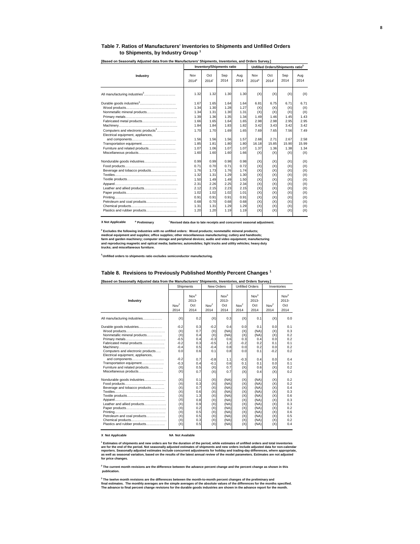#### **Table 7. Ratios of Manufacturers' Inventories to Shipments and Unfilled Orders to Shipments, by Industry Group <sup>1</sup>**

|                                                                                                                                                                                                                |                                                                                              | <b>Inventory/Shipments ratio</b>                                                             |                                                                                              |                                                                                              | Unfilled Orders/Shipments ratio <sup>2</sup>                                       |                                                                                    |                                                                                    |                                                                                    |  |  |
|----------------------------------------------------------------------------------------------------------------------------------------------------------------------------------------------------------------|----------------------------------------------------------------------------------------------|----------------------------------------------------------------------------------------------|----------------------------------------------------------------------------------------------|----------------------------------------------------------------------------------------------|------------------------------------------------------------------------------------|------------------------------------------------------------------------------------|------------------------------------------------------------------------------------|------------------------------------------------------------------------------------|--|--|
| Industry                                                                                                                                                                                                       | Nov<br>2014 <sup>p</sup>                                                                     | Oct<br>$2014$ <sup>r</sup>                                                                   | Sep<br>2014                                                                                  | Aug<br>2014                                                                                  | Nov<br>$2014^p$                                                                    | Oct<br>$2014$ <sup>r</sup>                                                         | Sep<br>2014                                                                        | Aug<br>2014                                                                        |  |  |
| All manufacturing industries <sup>3</sup>                                                                                                                                                                      | 1.32                                                                                         | 1.32                                                                                         | 1.30                                                                                         | 1.30                                                                                         | (X)                                                                                | (X)                                                                                | (X)                                                                                | (X)                                                                                |  |  |
| Nonmetallic mineral products<br>Fabricated metal products<br>Computers and electronic products <sup>3</sup><br>Electrical equipment, appliances,<br>Transportation equipment<br>Furniture and related products | 1.67<br>1.34<br>1.34<br>1.39<br>1.66<br>1.84<br>1.70<br>1.56<br>1.85<br>1.07<br>1.60         | 1.65<br>1.30<br>1.31<br>1.36<br>1.65<br>1.84<br>1.70<br>1.56<br>1.81<br>1.06<br>1.60         | 1.64<br>1.28<br>1.30<br>1.35<br>1.64<br>1.83<br>1.69<br>1.56<br>1.80<br>1.07<br>1.60         | 1.64<br>1.27<br>1.31<br>1.34<br>1.65<br>1.82<br>1.65<br>1.57<br>1.80<br>1.07<br>1.66         | 6.81<br>(X)<br>(X)<br>1.49<br>2.98<br>3.42<br>7.69<br>2.68<br>16.18<br>1.37<br>(X) | 6.75<br>(X)<br>(X)<br>1.46<br>2.98<br>3.43<br>7.65<br>2.71<br>15.85<br>1.36<br>(X) | 6.71<br>(X)<br>(X)<br>1.45<br>2.95<br>3.42<br>7.56<br>2.67<br>15.90<br>1.38<br>(X) | 6.71<br>(X)<br>(X)<br>1.43<br>2.95<br>3.42<br>7.49<br>2.58<br>15.99<br>1.34<br>(X) |  |  |
| Beverage and tobacco products<br>Leather and allied products<br>Petroleum and coal products<br>Plastics and rubber products                                                                                    | 0.99<br>0.71<br>1.76<br>1.32<br>1.50<br>2.31<br>2.12<br>1.02<br>0.91<br>0.68<br>1.31<br>1.20 | 0.99<br>0.70<br>1.73<br>1.31<br>1.49<br>2.26<br>2.15<br>1.02<br>0.91<br>0.70<br>1.31<br>1.20 | 0.98<br>0.71<br>1.76<br>1.29<br>1.49<br>2.25<br>2.23<br>1.02<br>0.91<br>0.68<br>1.29<br>1.19 | 0.98<br>0.72<br>1.74<br>1.30<br>1.50<br>2.34<br>2.15<br>1.01<br>0.91<br>0.68<br>1.29<br>1.19 | (X)<br>(X)<br>(X)<br>(X)<br>(X)<br>(X)<br>(X)<br>(X)<br>(X)<br>(X)<br>(X)<br>(X)   | (X)<br>(X)<br>(X)<br>(X)<br>(X)<br>(X)<br>(X)<br>(X)<br>(X)<br>(X)<br>(X)<br>(X)   | (X)<br>(X)<br>(X)<br>(X)<br>(X)<br>(X)<br>(X)<br>(X)<br>(X)<br>(X)<br>(X)<br>(X)   | (X)<br>(X)<br>(X)<br>(X)<br>(X)<br>(X)<br>(X)<br>(X)<br>(X)<br>(X)<br>(X)<br>(X)   |  |  |

**[Based on Seasonally Adjusted data from the Manufacturers' Shipments, Inventories, and Orders Survey.]** 

**X Not Applicable <sup>p</sup>** <sup>r</sup> Revised data due to late receipts and concurrent seasonal adjustment.

<sup>2</sup> Excludes the following industries with no unfilled orders: Wood products; nonmetallic mineral products;<br>medical equipment and supplies; office supplies; other miscellaneous manufacturing; cutlery and handtools;<br>farm an

**3 Unfilled orders to shipments ratio excludes semiconductor manufacturing.**

#### **Table 8. Revisions to Previously Published Monthly Percent Changes 1**

|                                                                                                                                                                                                                                                                           |                                                                                             | Shipments                                                                        | New Orders                                                                                  |                                                                                              | <b>Unfilled Orders</b>                                                           |                                                                                              | Inventories                                                                      |                                                                                  |
|---------------------------------------------------------------------------------------------------------------------------------------------------------------------------------------------------------------------------------------------------------------------------|---------------------------------------------------------------------------------------------|----------------------------------------------------------------------------------|---------------------------------------------------------------------------------------------|----------------------------------------------------------------------------------------------|----------------------------------------------------------------------------------|----------------------------------------------------------------------------------------------|----------------------------------------------------------------------------------|----------------------------------------------------------------------------------|
| Industry                                                                                                                                                                                                                                                                  | Nov <sup>2</sup><br>2014                                                                    | Nov <sup>3</sup><br>$2013 -$<br>Oct<br>2014                                      | Nov <sup>2</sup><br>2014                                                                    | Nov <sup>3</sup><br>2013-<br>Oct<br>2014                                                     | Nov <sup>2</sup><br>2014                                                         | Nov <sup>3</sup><br>2013-<br>Oct<br>2014                                                     | Nov <sup>2</sup><br>2014                                                         | Nov <sup>3</sup><br>2013-<br>Oct<br>2014                                         |
| All manufacturing industries                                                                                                                                                                                                                                              | (X)                                                                                         | 0.2                                                                              | (X)                                                                                         | 0.3                                                                                          | (X)                                                                              | 0.1                                                                                          | (X)                                                                              | 0.0                                                                              |
| Durable goods industries<br>Nonmetallic mineral products<br>Fabricated metal products<br>Computers and electronic products<br>Electrical equipment, appliances,<br>and components<br>Transportation equipment<br>Furniture and related products<br>Miscellaneous products | $-0.2$<br>(X)<br>(X)<br>$-0.5$<br>$-0.2$<br>$-0.4$<br>0.0<br>$-0.2$<br>$-0.3$<br>(X)<br>(X) | 0.3<br>0.7<br>0.4<br>0.4<br>0.3<br>0.5<br>0.6<br>0.7<br>0.4<br>0.5<br>0.7        | $-0.2$<br>(X)<br>(X)<br>$-0.3$<br>$-0.5$<br>$-0.4$<br>0.1<br>$-0.8$<br>$-0.1$<br>(X)<br>(X) | 0.4<br>(NA)<br>(NA)<br>0.6<br>1.2<br>0.8<br>0.8<br>1.1<br>0.6<br>0.7<br>0.7                  | 0.0<br>(X)<br>(X)<br>0.3<br>$-0.2$<br>0.0<br>0.0<br>$-0.3$<br>0.1<br>(X)<br>(X)  | 0.1<br>(NA)<br>(NA)<br>0.4<br>0.2<br>0.2<br>0.1<br>0.4<br>0.1<br>0.6<br>0.4                  | 0.0<br>(X)<br>(X)<br>0.0<br>0.1<br>0.0<br>$-0.2$<br>0.0<br>0.0<br>(X)<br>(X)     | 0.1<br>0.3<br>0.2<br>0.2<br>0.1<br>0.2<br>0.2<br>0.4<br>0.1<br>0.2<br>0.2        |
| Nondurable goods industries<br>Beverage and tobacco products<br>Textile products<br>Leather and allied products<br>Petroleum and coal products<br>Chemical products<br>Plastics and rubber products                                                                       | (X)<br>(X)<br>(X)<br>(X)<br>(X)<br>(X)<br>(X)<br>(X)<br>(X)<br>(X)<br>(X)<br>(X)            | 0.1<br>0.3<br>0.7<br>0.6<br>1.3<br>0.8<br>0.9<br>0.2<br>0.5<br>0.5<br>0.3<br>0.5 | (X)<br>(X)<br>(X)<br>(X)<br>(X)<br>(X)<br>(X)<br>(X)<br>(X)<br>(X)<br>(X)<br>(X)            | (NA)<br>(NA)<br>(NA)<br>(NA)<br>(NA)<br>(NA)<br>(NA)<br>(NA)<br>(NA)<br>(NA)<br>(NA)<br>(NA) | (X)<br>(X)<br>(X)<br>(X)<br>(X)<br>(X)<br>(X)<br>(X)<br>(X)<br>(X)<br>(X)<br>(X) | (NA)<br>(NA)<br>(NA)<br>(NA)<br>(NA)<br>(NA)<br>(NA)<br>(NA)<br>(NA)<br>(NA)<br>(NA)<br>(NA) | (X)<br>(X)<br>(X)<br>(X)<br>(X)<br>(X)<br>(X)<br>(X)<br>(X)<br>(X)<br>(X)<br>(X) | 0.2<br>0.2<br>0.4<br>0.3<br>0.6<br>0.3<br>0.3<br>0.2<br>0.6<br>0.5<br>0.2<br>0.4 |

#### **X Not Applicable NA Not Available**

<sup>1</sup> Estimates of shipments and new orders are for the duration of the period, while estimates of unfilled orders and total inventories<br>are for the end of the period. Not seasonally adjusted estimates of shipments and new o

**2 The current month revisions are the difference between the advance percent change and the percent change as shown in this publication.**

<sup>3</sup> The twelve month revisions are the differences between the month-to-month percent changes of the preliminary and<br>final estimates. The monthly averages are the simple averages of the absolute values of the differences f